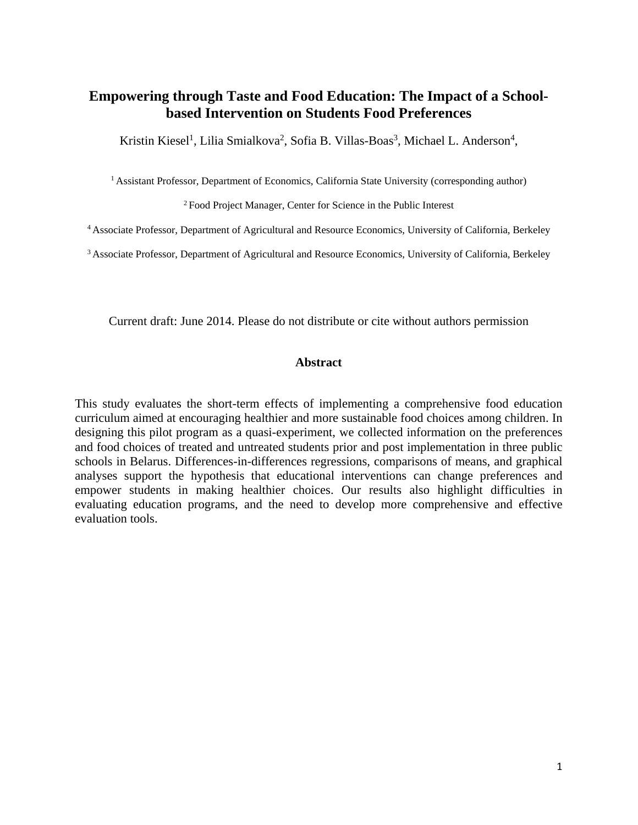# **Empowering through Taste and Food Education: The Impact of a Schoolbased Intervention on Students Food Preferences**

Kristin Kiesel<sup>1</sup>, Lilia Smialkova<sup>2</sup>, Sofia B. Villas-Boas<sup>3</sup>, Michael L. Anderson<sup>4</sup>,

<sup>1</sup> Assistant Professor, Department of Economics, California State University (corresponding author)

2 Food Project Manager, Center for Science in the Public Interest

4 Associate Professor, Department of Agricultural and Resource Economics, University of California, Berkeley

3 Associate Professor, Department of Agricultural and Resource Economics, University of California, Berkeley

Current draft: June 2014. Please do not distribute or cite without authors permission

## **Abstract**

This study evaluates the short-term effects of implementing a comprehensive food education curriculum aimed at encouraging healthier and more sustainable food choices among children. In designing this pilot program as a quasi-experiment, we collected information on the preferences and food choices of treated and untreated students prior and post implementation in three public schools in Belarus. Differences-in-differences regressions, comparisons of means, and graphical analyses support the hypothesis that educational interventions can change preferences and empower students in making healthier choices. Our results also highlight difficulties in evaluating education programs, and the need to develop more comprehensive and effective evaluation tools.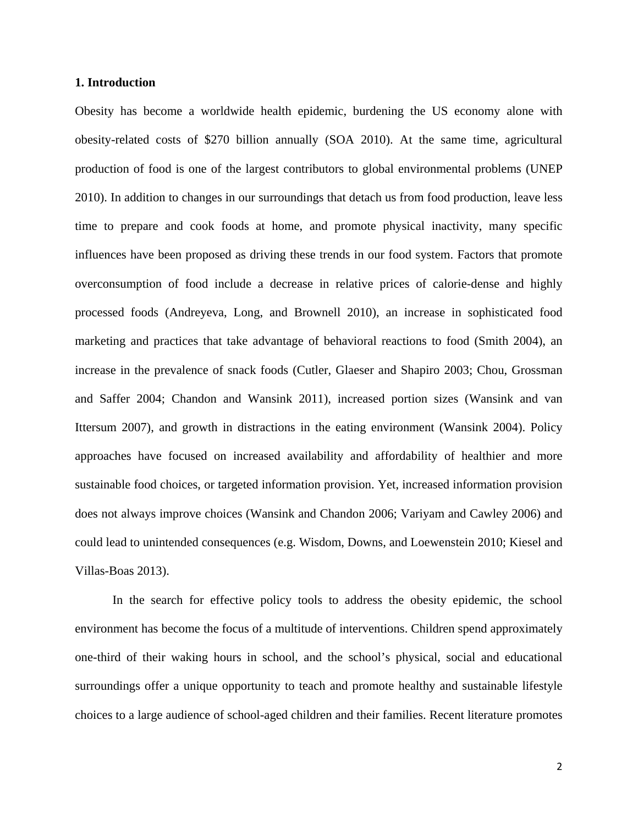## **1. Introduction**

Obesity has become a worldwide health epidemic, burdening the US economy alone with obesity-related costs of \$270 billion annually (SOA 2010). At the same time, agricultural production of food is one of the largest contributors to global environmental problems (UNEP 2010). In addition to changes in our surroundings that detach us from food production, leave less time to prepare and cook foods at home, and promote physical inactivity, many specific influences have been proposed as driving these trends in our food system. Factors that promote overconsumption of food include a decrease in relative prices of calorie-dense and highly processed foods (Andreyeva, Long, and Brownell 2010), an increase in sophisticated food marketing and practices that take advantage of behavioral reactions to food (Smith 2004), an increase in the prevalence of snack foods (Cutler, Glaeser and Shapiro 2003; Chou, Grossman and Saffer 2004; Chandon and Wansink 2011), increased portion sizes (Wansink and van Ittersum 2007), and growth in distractions in the eating environment (Wansink 2004). Policy approaches have focused on increased availability and affordability of healthier and more sustainable food choices, or targeted information provision. Yet, increased information provision does not always improve choices (Wansink and Chandon 2006; Variyam and Cawley 2006) and could lead to unintended consequences (e.g. Wisdom, Downs, and Loewenstein 2010; Kiesel and Villas-Boas 2013).

In the search for effective policy tools to address the obesity epidemic, the school environment has become the focus of a multitude of interventions. Children spend approximately one-third of their waking hours in school, and the school's physical, social and educational surroundings offer a unique opportunity to teach and promote healthy and sustainable lifestyle choices to a large audience of school-aged children and their families. Recent literature promotes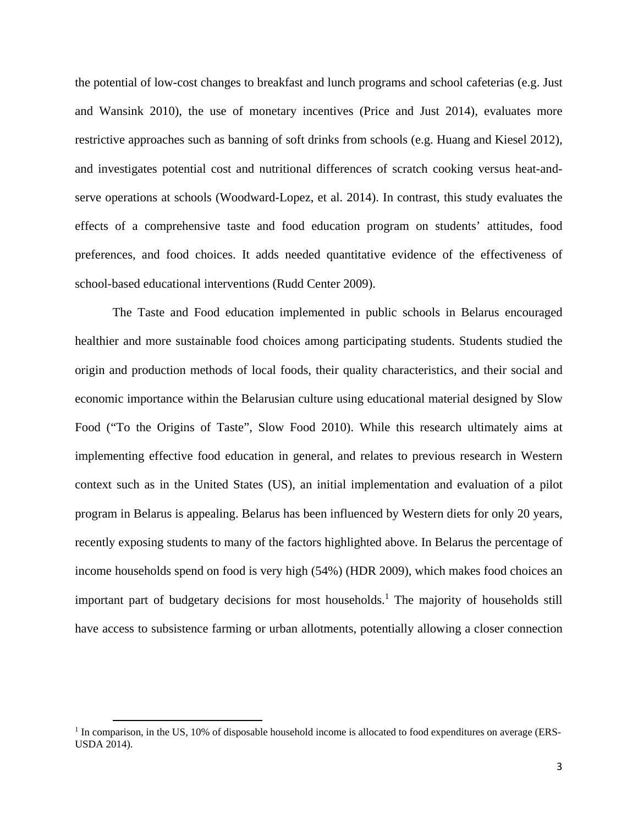the potential of low-cost changes to breakfast and lunch programs and school cafeterias (e.g. Just and Wansink 2010), the use of monetary incentives (Price and Just 2014), evaluates more restrictive approaches such as banning of soft drinks from schools (e.g. Huang and Kiesel 2012), and investigates potential cost and nutritional differences of scratch cooking versus heat-andserve operations at schools (Woodward-Lopez, et al. 2014). In contrast, this study evaluates the effects of a comprehensive taste and food education program on students' attitudes, food preferences, and food choices. It adds needed quantitative evidence of the effectiveness of school-based educational interventions (Rudd Center 2009).

The Taste and Food education implemented in public schools in Belarus encouraged healthier and more sustainable food choices among participating students. Students studied the origin and production methods of local foods, their quality characteristics, and their social and economic importance within the Belarusian culture using educational material designed by Slow Food ("To the Origins of Taste", Slow Food 2010). While this research ultimately aims at implementing effective food education in general, and relates to previous research in Western context such as in the United States (US), an initial implementation and evaluation of a pilot program in Belarus is appealing. Belarus has been influenced by Western diets for only 20 years, recently exposing students to many of the factors highlighted above. In Belarus the percentage of income households spend on food is very high (54%) (HDR 2009), which makes food choices an important part of budgetary decisions for most households.<sup>1</sup> The majority of households still have access to subsistence farming or urban allotments, potentially allowing a closer connection

<sup>&</sup>lt;sup>1</sup> In comparison, in the US, 10% of disposable household income is allocated to food expenditures on average (ERS-USDA 2014).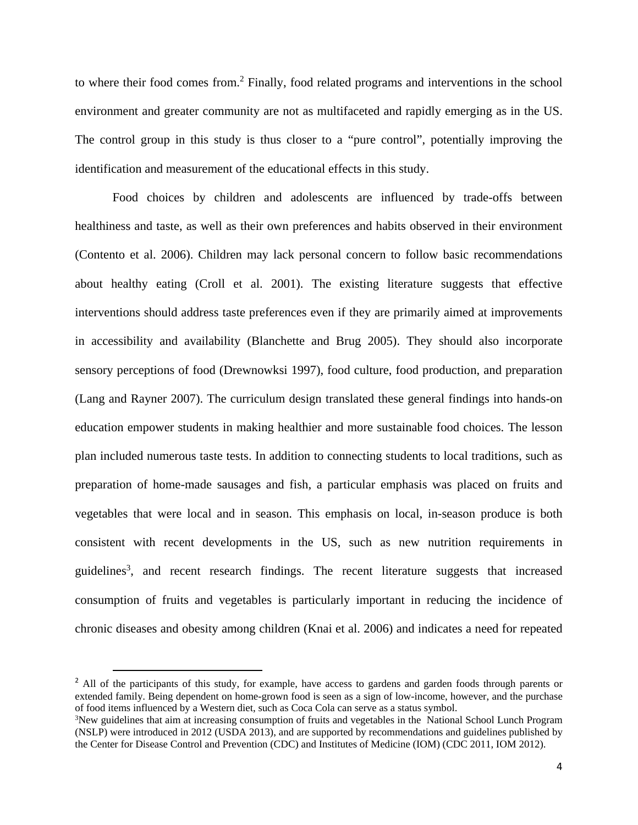to where their food comes from.<sup>2</sup> Finally, food related programs and interventions in the school environment and greater community are not as multifaceted and rapidly emerging as in the US. The control group in this study is thus closer to a "pure control", potentially improving the identification and measurement of the educational effects in this study.

Food choices by children and adolescents are influenced by trade-offs between healthiness and taste, as well as their own preferences and habits observed in their environment (Contento et al. 2006). Children may lack personal concern to follow basic recommendations about healthy eating (Croll et al. 2001). The existing literature suggests that effective interventions should address taste preferences even if they are primarily aimed at improvements in accessibility and availability (Blanchette and Brug 2005). They should also incorporate sensory perceptions of food (Drewnowksi 1997), food culture, food production, and preparation (Lang and Rayner 2007). The curriculum design translated these general findings into hands-on education empower students in making healthier and more sustainable food choices. The lesson plan included numerous taste tests. In addition to connecting students to local traditions, such as preparation of home-made sausages and fish, a particular emphasis was placed on fruits and vegetables that were local and in season. This emphasis on local, in-season produce is both consistent with recent developments in the US, such as new nutrition requirements in guidelines<sup>3</sup>, and recent research findings. The recent literature suggests that increased consumption of fruits and vegetables is particularly important in reducing the incidence of chronic diseases and obesity among children (Knai et al. 2006) and indicates a need for repeated

<sup>&</sup>lt;sup>2</sup> All of the participants of this study, for example, have access to gardens and garden foods through parents or extended family. Being dependent on home-grown food is seen as a sign of low-income, however, and the purchase of food items influenced by a Western diet, such as Coca Cola can serve as a status symbol. 3

<sup>&</sup>lt;sup>3</sup>New guidelines that aim at increasing consumption of fruits and vegetables in the National School Lunch Program (NSLP) were introduced in 2012 (USDA 2013), and are supported by recommendations and guidelines published by the Center for Disease Control and Prevention (CDC) and Institutes of Medicine (IOM) (CDC 2011, IOM 2012).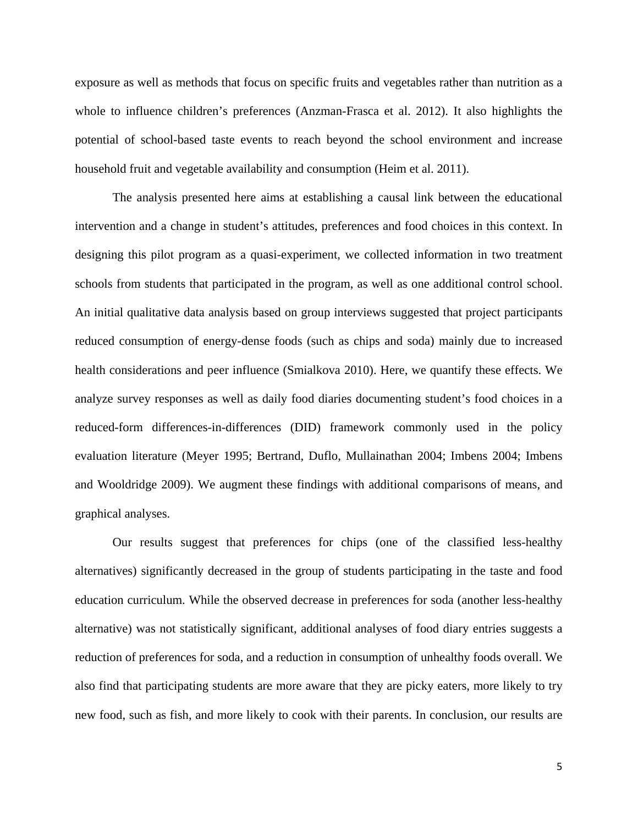exposure as well as methods that focus on specific fruits and vegetables rather than nutrition as a whole to influence children's preferences (Anzman-Frasca et al. 2012). It also highlights the potential of school-based taste events to reach beyond the school environment and increase household fruit and vegetable availability and consumption (Heim et al. 2011).

The analysis presented here aims at establishing a causal link between the educational intervention and a change in student's attitudes, preferences and food choices in this context. In designing this pilot program as a quasi-experiment, we collected information in two treatment schools from students that participated in the program, as well as one additional control school. An initial qualitative data analysis based on group interviews suggested that project participants reduced consumption of energy-dense foods (such as chips and soda) mainly due to increased health considerations and peer influence (Smialkova 2010). Here, we quantify these effects. We analyze survey responses as well as daily food diaries documenting student's food choices in a reduced-form differences-in-differences (DID) framework commonly used in the policy evaluation literature (Meyer 1995; Bertrand, Duflo, Mullainathan 2004; Imbens 2004; Imbens and Wooldridge 2009). We augment these findings with additional comparisons of means, and graphical analyses.

Our results suggest that preferences for chips (one of the classified less-healthy alternatives) significantly decreased in the group of students participating in the taste and food education curriculum. While the observed decrease in preferences for soda (another less-healthy alternative) was not statistically significant, additional analyses of food diary entries suggests a reduction of preferences for soda, and a reduction in consumption of unhealthy foods overall. We also find that participating students are more aware that they are picky eaters, more likely to try new food, such as fish, and more likely to cook with their parents. In conclusion, our results are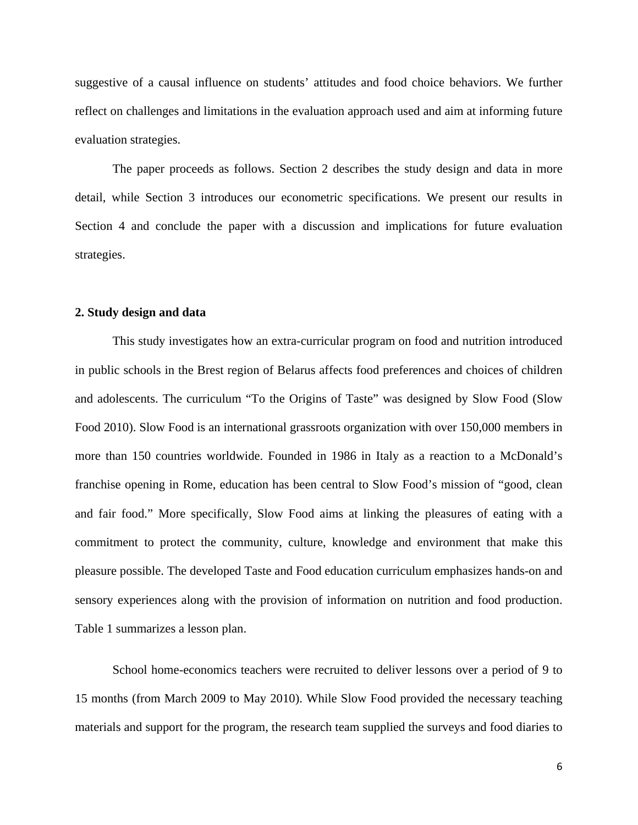suggestive of a causal influence on students' attitudes and food choice behaviors. We further reflect on challenges and limitations in the evaluation approach used and aim at informing future evaluation strategies.

The paper proceeds as follows. Section 2 describes the study design and data in more detail, while Section 3 introduces our econometric specifications. We present our results in Section 4 and conclude the paper with a discussion and implications for future evaluation strategies.

## **2. Study design and data**

This study investigates how an extra-curricular program on food and nutrition introduced in public schools in the Brest region of Belarus affects food preferences and choices of children and adolescents. The curriculum "To the Origins of Taste" was designed by Slow Food (Slow Food 2010). Slow Food is an international grassroots organization with over 150,000 members in more than 150 countries worldwide. Founded in 1986 in Italy as a reaction to a McDonald's franchise opening in Rome, education has been central to Slow Food's mission of "good, clean and fair food." More specifically, Slow Food aims at linking the pleasures of eating with a commitment to protect the community, culture, knowledge and environment that make this pleasure possible. The developed Taste and Food education curriculum emphasizes hands-on and sensory experiences along with the provision of information on nutrition and food production. Table 1 summarizes a lesson plan.

School home-economics teachers were recruited to deliver lessons over a period of 9 to 15 months (from March 2009 to May 2010). While Slow Food provided the necessary teaching materials and support for the program, the research team supplied the surveys and food diaries to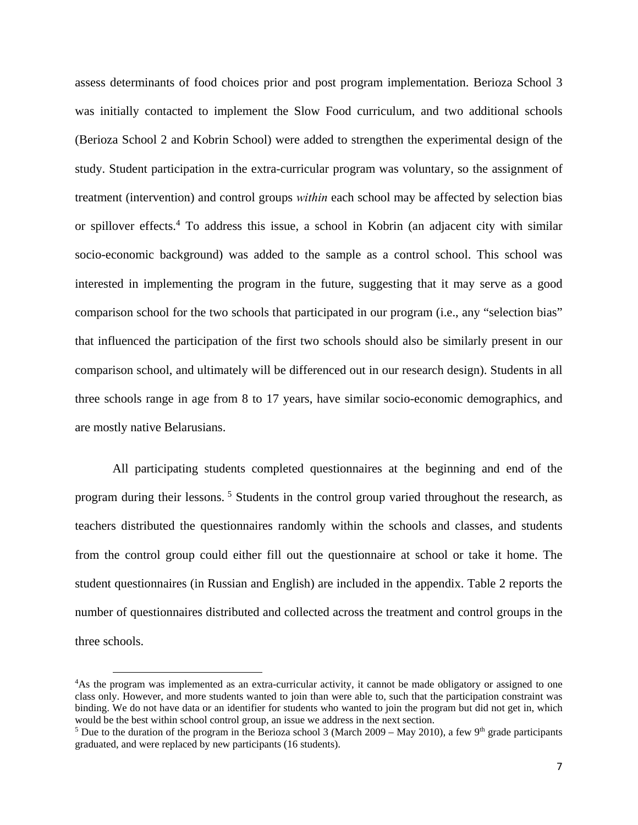assess determinants of food choices prior and post program implementation. Berioza School 3 was initially contacted to implement the Slow Food curriculum, and two additional schools (Berioza School 2 and Kobrin School) were added to strengthen the experimental design of the study. Student participation in the extra-curricular program was voluntary, so the assignment of treatment (intervention) and control groups *within* each school may be affected by selection bias or spillover effects.<sup>4</sup> To address this issue, a school in Kobrin (an adjacent city with similar socio-economic background) was added to the sample as a control school. This school was interested in implementing the program in the future, suggesting that it may serve as a good comparison school for the two schools that participated in our program (i.e., any "selection bias" that influenced the participation of the first two schools should also be similarly present in our comparison school, and ultimately will be differenced out in our research design). Students in all three schools range in age from 8 to 17 years, have similar socio-economic demographics, and are mostly native Belarusians.

All participating students completed questionnaires at the beginning and end of the program during their lessons. 5 Students in the control group varied throughout the research, as teachers distributed the questionnaires randomly within the schools and classes, and students from the control group could either fill out the questionnaire at school or take it home. The student questionnaires (in Russian and English) are included in the appendix. Table 2 reports the number of questionnaires distributed and collected across the treatment and control groups in the three schools.

<sup>4</sup> As the program was implemented as an extra-curricular activity, it cannot be made obligatory or assigned to one class only. However, and more students wanted to join than were able to, such that the participation constraint was binding. We do not have data or an identifier for students who wanted to join the program but did not get in, which would be the best within school control group, an issue we address in the next section.

<sup>&</sup>lt;sup>5</sup> Due to the duration of the program in the Berioza school 3 (March 2009 – May 2010), a few 9<sup>th</sup> grade participants graduated, and were replaced by new participants (16 students).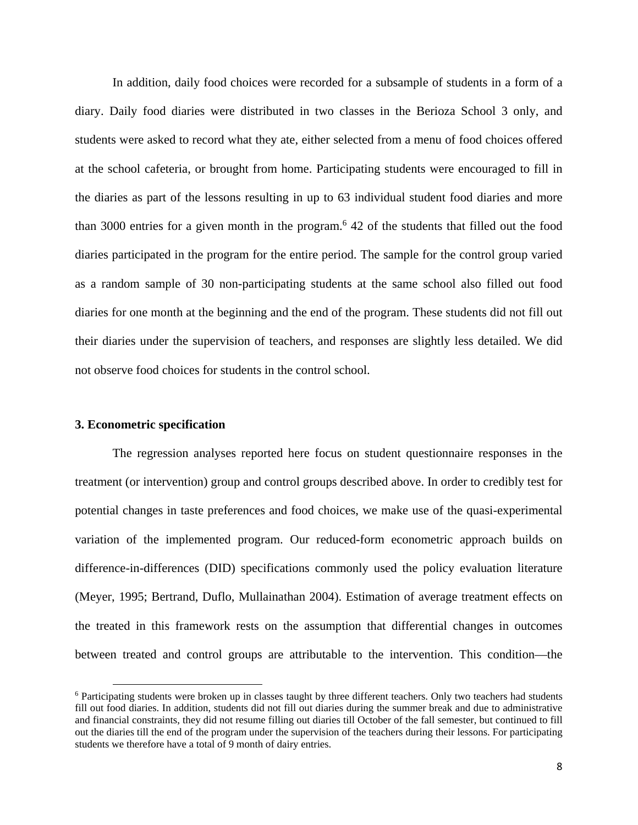In addition, daily food choices were recorded for a subsample of students in a form of a diary. Daily food diaries were distributed in two classes in the Berioza School 3 only, and students were asked to record what they ate, either selected from a menu of food choices offered at the school cafeteria, or brought from home. Participating students were encouraged to fill in the diaries as part of the lessons resulting in up to 63 individual student food diaries and more than 3000 entries for a given month in the program.<sup>6</sup> 42 of the students that filled out the food diaries participated in the program for the entire period. The sample for the control group varied as a random sample of 30 non-participating students at the same school also filled out food diaries for one month at the beginning and the end of the program. These students did not fill out their diaries under the supervision of teachers, and responses are slightly less detailed. We did not observe food choices for students in the control school.

## **3. Econometric specification**

The regression analyses reported here focus on student questionnaire responses in the treatment (or intervention) group and control groups described above. In order to credibly test for potential changes in taste preferences and food choices, we make use of the quasi-experimental variation of the implemented program. Our reduced-form econometric approach builds on difference-in-differences (DID) specifications commonly used the policy evaluation literature (Meyer, 1995; Bertrand, Duflo, Mullainathan 2004). Estimation of average treatment effects on the treated in this framework rests on the assumption that differential changes in outcomes between treated and control groups are attributable to the intervention. This condition—the

<sup>&</sup>lt;sup>6</sup> Participating students were broken up in classes taught by three different teachers. Only two teachers had students fill out food diaries. In addition, students did not fill out diaries during the summer break and due to administrative and financial constraints, they did not resume filling out diaries till October of the fall semester, but continued to fill out the diaries till the end of the program under the supervision of the teachers during their lessons. For participating students we therefore have a total of 9 month of dairy entries.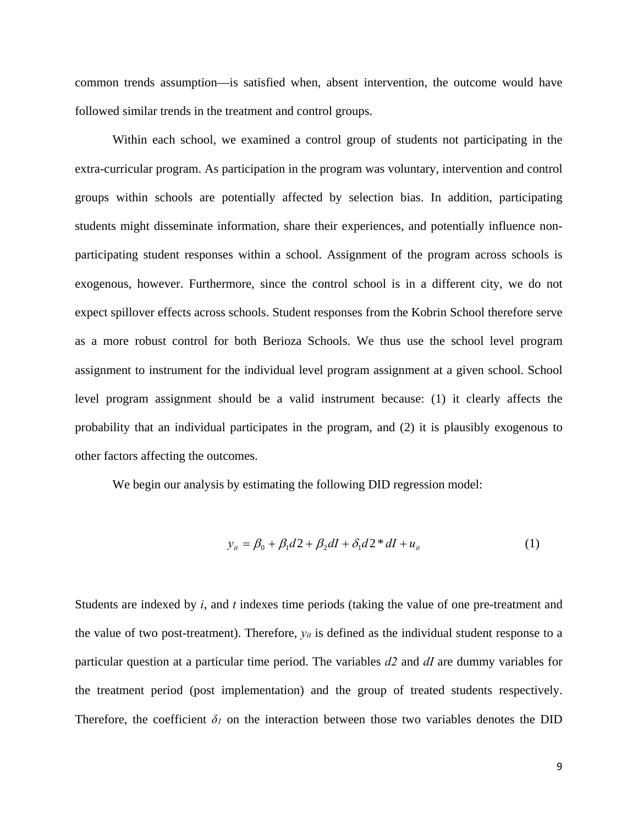common trends assumption—is satisfied when, absent intervention, the outcome would have followed similar trends in the treatment and control groups.

Within each school, we examined a control group of students not participating in the extra-curricular program. As participation in the program was voluntary, intervention and control groups within schools are potentially affected by selection bias. In addition, participating students might disseminate information, share their experiences, and potentially influence nonparticipating student responses within a school. Assignment of the program across schools is exogenous, however. Furthermore, since the control school is in a different city, we do not expect spillover effects across schools. Student responses from the Kobrin School therefore serve as a more robust control for both Berioza Schools. We thus use the school level program assignment to instrument for the individual level program assignment at a given school. School level program assignment should be a valid instrument because: (1) it clearly affects the probability that an individual participates in the program, and (2) it is plausibly exogenous to other factors affecting the outcomes.

We begin our analysis by estimating the following DID regression model:

$$
y_{it} = \beta_0 + \beta_1 d2 + \beta_2 dI + \delta_1 d2 * dI + u_{it}
$$
 (1)

Students are indexed by *i*, and *t* indexes time periods (taking the value of one pre-treatment and the value of two post-treatment). Therefore, *yit* is defined as the individual student response to a particular question at a particular time period. The variables *d2* and *dI* are dummy variables for the treatment period (post implementation) and the group of treated students respectively. Therefore, the coefficient  $\delta_l$  on the interaction between those two variables denotes the DID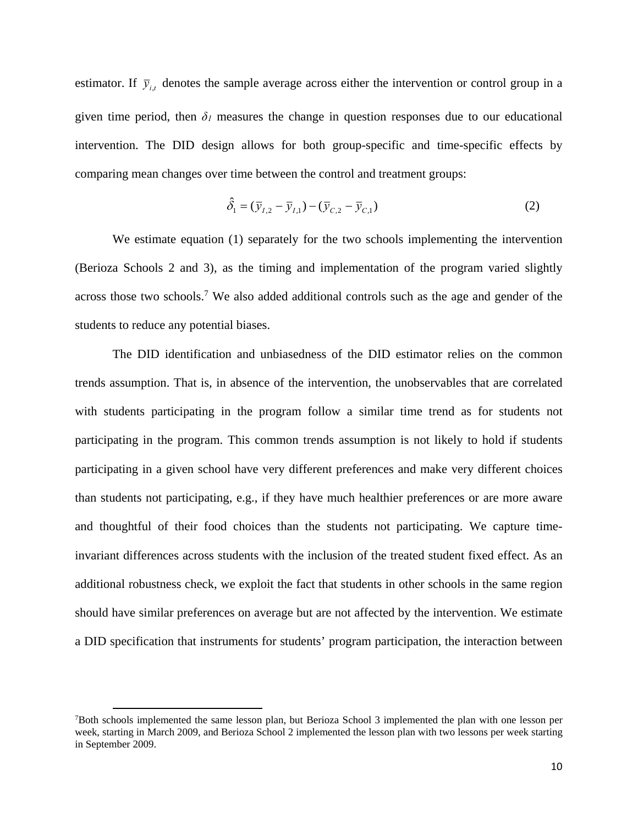estimator. If  $\bar{y}_{i}$  denotes the sample average across either the intervention or control group in a given time period, then  $\delta$ <sup>*I*</sup> measures the change in question responses due to our educational intervention. The DID design allows for both group-specific and time-specific effects by comparing mean changes over time between the control and treatment groups:

$$
\hat{\delta}_1 = (\bar{y}_{I,2} - \bar{y}_{I,1}) - (\bar{y}_{C,2} - \bar{y}_{C,1})
$$
\n(2)

We estimate equation (1) separately for the two schools implementing the intervention (Berioza Schools 2 and 3), as the timing and implementation of the program varied slightly across those two schools.<sup>7</sup> We also added additional controls such as the age and gender of the students to reduce any potential biases.

The DID identification and unbiasedness of the DID estimator relies on the common trends assumption. That is, in absence of the intervention, the unobservables that are correlated with students participating in the program follow a similar time trend as for students not participating in the program. This common trends assumption is not likely to hold if students participating in a given school have very different preferences and make very different choices than students not participating, e.g., if they have much healthier preferences or are more aware and thoughtful of their food choices than the students not participating. We capture timeinvariant differences across students with the inclusion of the treated student fixed effect. As an additional robustness check, we exploit the fact that students in other schools in the same region should have similar preferences on average but are not affected by the intervention. We estimate a DID specification that instruments for students' program participation, the interaction between

<sup>7</sup> Both schools implemented the same lesson plan, but Berioza School 3 implemented the plan with one lesson per week, starting in March 2009, and Berioza School 2 implemented the lesson plan with two lessons per week starting in September 2009.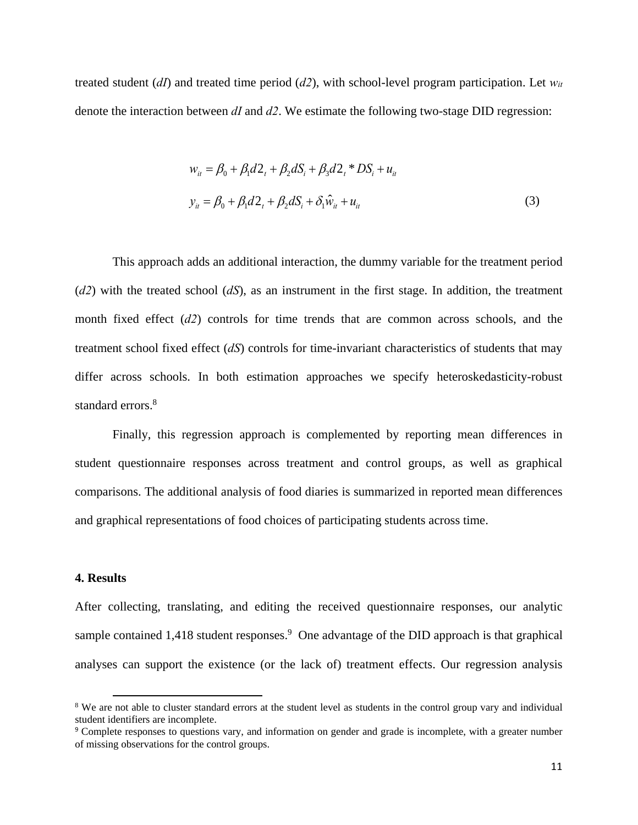treated student (*dI*) and treated time period (*d2*), with school-level program participation. Let *wit* denote the interaction between *dI* and *d2*. We estimate the following two-stage DID regression:

$$
w_{it} = \beta_0 + \beta_1 d_{t} + \beta_2 d_{t} + \beta_3 d_{t} + DS_i + u_{it}
$$
  

$$
y_{it} = \beta_0 + \beta_1 d_{t} + \beta_2 d_{t} + \delta_1 \hat{w}_{it} + u_{it}
$$
 (3)

This approach adds an additional interaction, the dummy variable for the treatment period (*d2*) with the treated school (*dS*), as an instrument in the first stage. In addition, the treatment month fixed effect (*d2*) controls for time trends that are common across schools, and the treatment school fixed effect (*dS*) controls for time-invariant characteristics of students that may differ across schools. In both estimation approaches we specify heteroskedasticity-robust standard errors.<sup>8</sup>

Finally, this regression approach is complemented by reporting mean differences in student questionnaire responses across treatment and control groups, as well as graphical comparisons. The additional analysis of food diaries is summarized in reported mean differences and graphical representations of food choices of participating students across time.

## **4. Results**

After collecting, translating, and editing the received questionnaire responses, our analytic sample contained  $1,418$  student responses.<sup>9</sup> One advantage of the DID approach is that graphical analyses can support the existence (or the lack of) treatment effects. Our regression analysis

<sup>&</sup>lt;sup>8</sup> We are not able to cluster standard errors at the student level as students in the control group vary and individual student identifiers are incomplete.

<sup>9</sup> Complete responses to questions vary, and information on gender and grade is incomplete, with a greater number of missing observations for the control groups.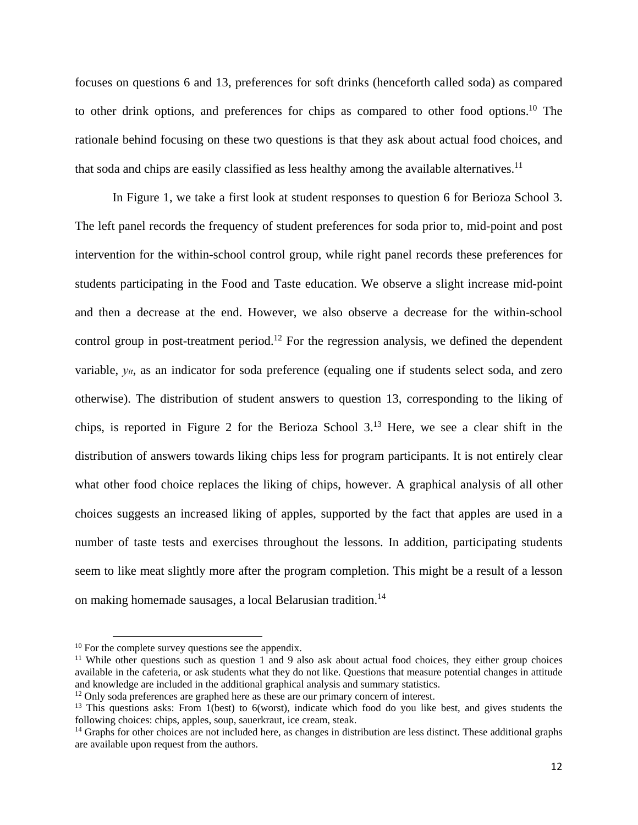focuses on questions 6 and 13, preferences for soft drinks (henceforth called soda) as compared to other drink options, and preferences for chips as compared to other food options.10 The rationale behind focusing on these two questions is that they ask about actual food choices, and that soda and chips are easily classified as less healthy among the available alternatives.<sup>11</sup>

In Figure 1, we take a first look at student responses to question 6 for Berioza School 3. The left panel records the frequency of student preferences for soda prior to, mid-point and post intervention for the within-school control group, while right panel records these preferences for students participating in the Food and Taste education. We observe a slight increase mid-point and then a decrease at the end. However, we also observe a decrease for the within-school control group in post-treatment period.<sup>12</sup> For the regression analysis, we defined the dependent variable, *yit*, as an indicator for soda preference (equaling one if students select soda, and zero otherwise). The distribution of student answers to question 13, corresponding to the liking of chips, is reported in Figure 2 for the Berioza School 3.13 Here, we see a clear shift in the distribution of answers towards liking chips less for program participants. It is not entirely clear what other food choice replaces the liking of chips, however. A graphical analysis of all other choices suggests an increased liking of apples, supported by the fact that apples are used in a number of taste tests and exercises throughout the lessons. In addition, participating students seem to like meat slightly more after the program completion. This might be a result of a lesson on making homemade sausages, a local Belarusian tradition.14

 <sup>10</sup> For the complete survey questions see the appendix.

<sup>&</sup>lt;sup>11</sup> While other questions such as question 1 and 9 also ask about actual food choices, they either group choices available in the cafeteria, or ask students what they do not like. Questions that measure potential changes in attitude and knowledge are included in the additional graphical analysis and summary statistics.

<sup>&</sup>lt;sup>12</sup> Only soda preferences are graphed here as these are our primary concern of interest.

<sup>&</sup>lt;sup>13</sup> This questions asks: From 1(best) to 6(worst), indicate which food do you like best, and gives students the following choices: chips, apples, soup, sauerkraut, ice cream, steak.<br><sup>14</sup> Graphs for other choices are not included here, as changes in distribution are less distinct. These additional graphs

are available upon request from the authors.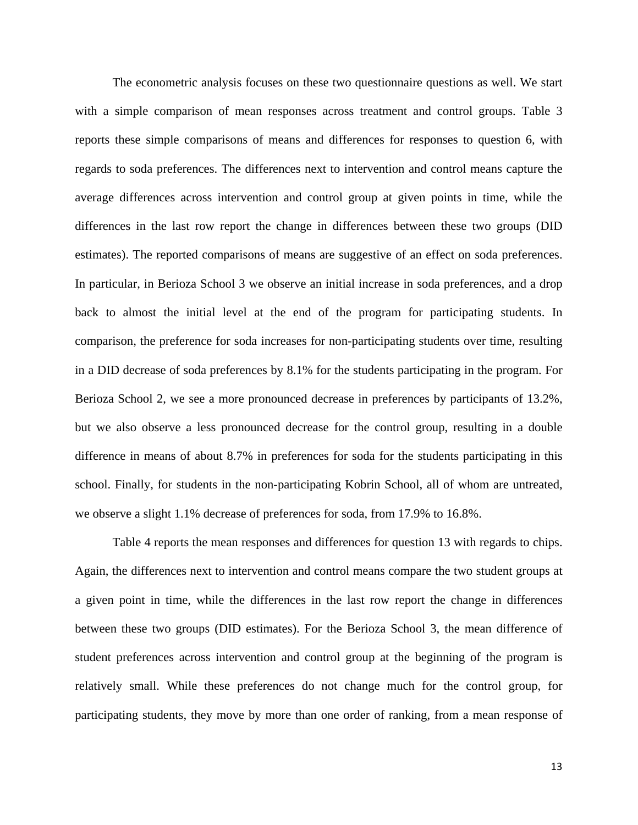The econometric analysis focuses on these two questionnaire questions as well. We start with a simple comparison of mean responses across treatment and control groups. Table 3 reports these simple comparisons of means and differences for responses to question 6, with regards to soda preferences. The differences next to intervention and control means capture the average differences across intervention and control group at given points in time, while the differences in the last row report the change in differences between these two groups (DID estimates). The reported comparisons of means are suggestive of an effect on soda preferences. In particular, in Berioza School 3 we observe an initial increase in soda preferences, and a drop back to almost the initial level at the end of the program for participating students. In comparison, the preference for soda increases for non-participating students over time, resulting in a DID decrease of soda preferences by 8.1% for the students participating in the program. For Berioza School 2, we see a more pronounced decrease in preferences by participants of 13.2%, but we also observe a less pronounced decrease for the control group, resulting in a double difference in means of about 8.7% in preferences for soda for the students participating in this school. Finally, for students in the non-participating Kobrin School, all of whom are untreated, we observe a slight 1.1% decrease of preferences for soda, from 17.9% to 16.8%.

Table 4 reports the mean responses and differences for question 13 with regards to chips. Again, the differences next to intervention and control means compare the two student groups at a given point in time, while the differences in the last row report the change in differences between these two groups (DID estimates). For the Berioza School 3, the mean difference of student preferences across intervention and control group at the beginning of the program is relatively small. While these preferences do not change much for the control group, for participating students, they move by more than one order of ranking, from a mean response of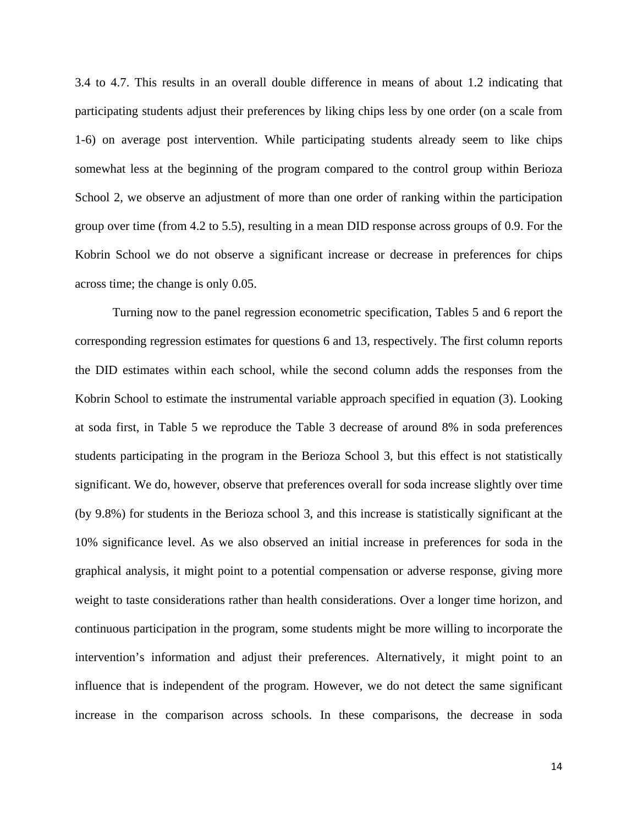3.4 to 4.7. This results in an overall double difference in means of about 1.2 indicating that participating students adjust their preferences by liking chips less by one order (on a scale from 1-6) on average post intervention. While participating students already seem to like chips somewhat less at the beginning of the program compared to the control group within Berioza School 2, we observe an adjustment of more than one order of ranking within the participation group over time (from 4.2 to 5.5), resulting in a mean DID response across groups of 0.9. For the Kobrin School we do not observe a significant increase or decrease in preferences for chips across time; the change is only 0.05.

Turning now to the panel regression econometric specification, Tables 5 and 6 report the corresponding regression estimates for questions 6 and 13, respectively. The first column reports the DID estimates within each school, while the second column adds the responses from the Kobrin School to estimate the instrumental variable approach specified in equation (3). Looking at soda first, in Table 5 we reproduce the Table 3 decrease of around 8% in soda preferences students participating in the program in the Berioza School 3, but this effect is not statistically significant. We do, however, observe that preferences overall for soda increase slightly over time (by 9.8%) for students in the Berioza school 3, and this increase is statistically significant at the 10% significance level. As we also observed an initial increase in preferences for soda in the graphical analysis, it might point to a potential compensation or adverse response, giving more weight to taste considerations rather than health considerations. Over a longer time horizon, and continuous participation in the program, some students might be more willing to incorporate the intervention's information and adjust their preferences. Alternatively, it might point to an influence that is independent of the program. However, we do not detect the same significant increase in the comparison across schools. In these comparisons, the decrease in soda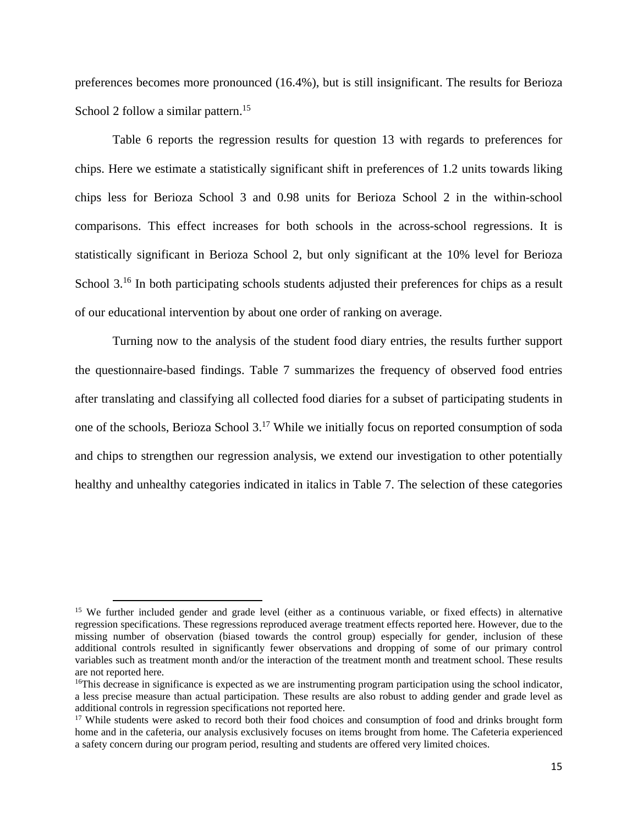preferences becomes more pronounced (16.4%), but is still insignificant. The results for Berioza School 2 follow a similar pattern.<sup>15</sup>

Table 6 reports the regression results for question 13 with regards to preferences for chips. Here we estimate a statistically significant shift in preferences of 1.2 units towards liking chips less for Berioza School 3 and 0.98 units for Berioza School 2 in the within-school comparisons. This effect increases for both schools in the across-school regressions. It is statistically significant in Berioza School 2, but only significant at the 10% level for Berioza School 3.<sup>16</sup> In both participating schools students adjusted their preferences for chips as a result of our educational intervention by about one order of ranking on average.

Turning now to the analysis of the student food diary entries, the results further support the questionnaire-based findings. Table 7 summarizes the frequency of observed food entries after translating and classifying all collected food diaries for a subset of participating students in one of the schools, Berioza School 3.17 While we initially focus on reported consumption of soda and chips to strengthen our regression analysis, we extend our investigation to other potentially healthy and unhealthy categories indicated in italics in Table 7. The selection of these categories

<sup>&</sup>lt;sup>15</sup> We further included gender and grade level (either as a continuous variable, or fixed effects) in alternative regression specifications. These regressions reproduced average treatment effects reported here. However, due to the missing number of observation (biased towards the control group) especially for gender, inclusion of these additional controls resulted in significantly fewer observations and dropping of some of our primary control variables such as treatment month and/or the interaction of the treatment month and treatment school. These results are not reported here.

<sup>&</sup>lt;sup>16</sup>This decrease in significance is expected as we are instrumenting program participation using the school indicator, a less precise measure than actual participation. These results are also robust to adding gender and grade level as additional controls in regression specifications not reported here.<br><sup>17</sup> While students were asked to record both their food choices and consumption of food and drinks brought form

home and in the cafeteria, our analysis exclusively focuses on items brought from home. The Cafeteria experienced a safety concern during our program period, resulting and students are offered very limited choices.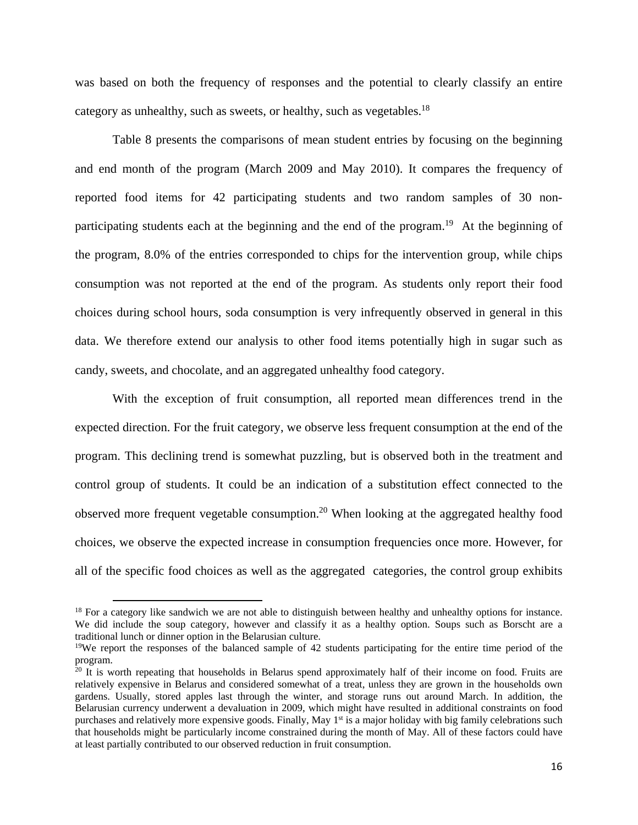was based on both the frequency of responses and the potential to clearly classify an entire category as unhealthy, such as sweets, or healthy, such as vegetables.<sup>18</sup>

Table 8 presents the comparisons of mean student entries by focusing on the beginning and end month of the program (March 2009 and May 2010). It compares the frequency of reported food items for 42 participating students and two random samples of 30 nonparticipating students each at the beginning and the end of the program.<sup>19</sup> At the beginning of the program, 8.0% of the entries corresponded to chips for the intervention group, while chips consumption was not reported at the end of the program. As students only report their food choices during school hours, soda consumption is very infrequently observed in general in this data. We therefore extend our analysis to other food items potentially high in sugar such as candy, sweets, and chocolate, and an aggregated unhealthy food category.

With the exception of fruit consumption, all reported mean differences trend in the expected direction. For the fruit category, we observe less frequent consumption at the end of the program. This declining trend is somewhat puzzling, but is observed both in the treatment and control group of students. It could be an indication of a substitution effect connected to the observed more frequent vegetable consumption.<sup>20</sup> When looking at the aggregated healthy food choices, we observe the expected increase in consumption frequencies once more. However, for all of the specific food choices as well as the aggregated categories, the control group exhibits

<sup>&</sup>lt;sup>18</sup> For a category like sandwich we are not able to distinguish between healthy and unhealthy options for instance. We did include the soup category, however and classify it as a healthy option. Soups such as Borscht are a traditional lunch or dinner option in the Belarusian culture.

<sup>&</sup>lt;sup>19</sup>We report the responses of the balanced sample of 42 students participating for the entire time period of the program.

 $20$  It is worth repeating that households in Belarus spend approximately half of their income on food. Fruits are relatively expensive in Belarus and considered somewhat of a treat, unless they are grown in the households own gardens. Usually, stored apples last through the winter, and storage runs out around March. In addition, the Belarusian currency underwent a devaluation in 2009, which might have resulted in additional constraints on food purchases and relatively more expensive goods. Finally, May 1<sup>st</sup> is a major holiday with big family celebrations such that households might be particularly income constrained during the month of May. All of these factors could have at least partially contributed to our observed reduction in fruit consumption.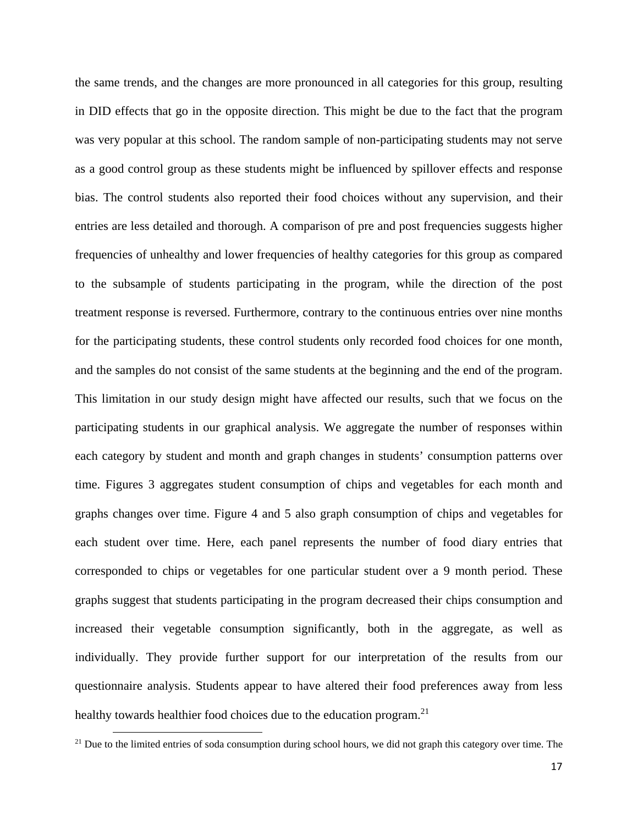the same trends, and the changes are more pronounced in all categories for this group, resulting in DID effects that go in the opposite direction. This might be due to the fact that the program was very popular at this school. The random sample of non-participating students may not serve as a good control group as these students might be influenced by spillover effects and response bias. The control students also reported their food choices without any supervision, and their entries are less detailed and thorough. A comparison of pre and post frequencies suggests higher frequencies of unhealthy and lower frequencies of healthy categories for this group as compared to the subsample of students participating in the program, while the direction of the post treatment response is reversed. Furthermore, contrary to the continuous entries over nine months for the participating students, these control students only recorded food choices for one month, and the samples do not consist of the same students at the beginning and the end of the program. This limitation in our study design might have affected our results, such that we focus on the participating students in our graphical analysis. We aggregate the number of responses within each category by student and month and graph changes in students' consumption patterns over time. Figures 3 aggregates student consumption of chips and vegetables for each month and graphs changes over time. Figure 4 and 5 also graph consumption of chips and vegetables for each student over time. Here, each panel represents the number of food diary entries that corresponded to chips or vegetables for one particular student over a 9 month period. These graphs suggest that students participating in the program decreased their chips consumption and increased their vegetable consumption significantly, both in the aggregate, as well as individually. They provide further support for our interpretation of the results from our questionnaire analysis. Students appear to have altered their food preferences away from less healthy towards healthier food choices due to the education program.<sup>21</sup>

 $21$  Due to the limited entries of soda consumption during school hours, we did not graph this category over time. The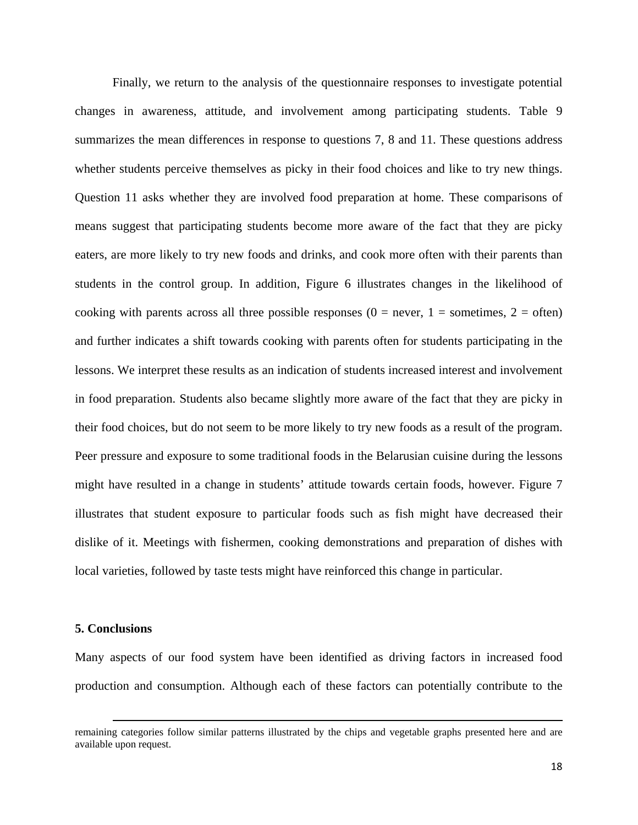Finally, we return to the analysis of the questionnaire responses to investigate potential changes in awareness, attitude, and involvement among participating students. Table 9 summarizes the mean differences in response to questions 7, 8 and 11. These questions address whether students perceive themselves as picky in their food choices and like to try new things. Question 11 asks whether they are involved food preparation at home. These comparisons of means suggest that participating students become more aware of the fact that they are picky eaters, are more likely to try new foods and drinks, and cook more often with their parents than students in the control group. In addition, Figure 6 illustrates changes in the likelihood of cooking with parents across all three possible responses ( $0 =$  never,  $1 =$  sometimes,  $2 =$  often) and further indicates a shift towards cooking with parents often for students participating in the lessons. We interpret these results as an indication of students increased interest and involvement in food preparation. Students also became slightly more aware of the fact that they are picky in their food choices, but do not seem to be more likely to try new foods as a result of the program. Peer pressure and exposure to some traditional foods in the Belarusian cuisine during the lessons might have resulted in a change in students' attitude towards certain foods, however. Figure 7 illustrates that student exposure to particular foods such as fish might have decreased their dislike of it. Meetings with fishermen, cooking demonstrations and preparation of dishes with local varieties, followed by taste tests might have reinforced this change in particular.

## **5. Conclusions**

Many aspects of our food system have been identified as driving factors in increased food production and consumption. Although each of these factors can potentially contribute to the

<u> 1989 - Johann Stein, marwolaethau a bhann an chomhair an chomhair an chomhair an chomhair an chomhair an chom</u>

remaining categories follow similar patterns illustrated by the chips and vegetable graphs presented here and are available upon request.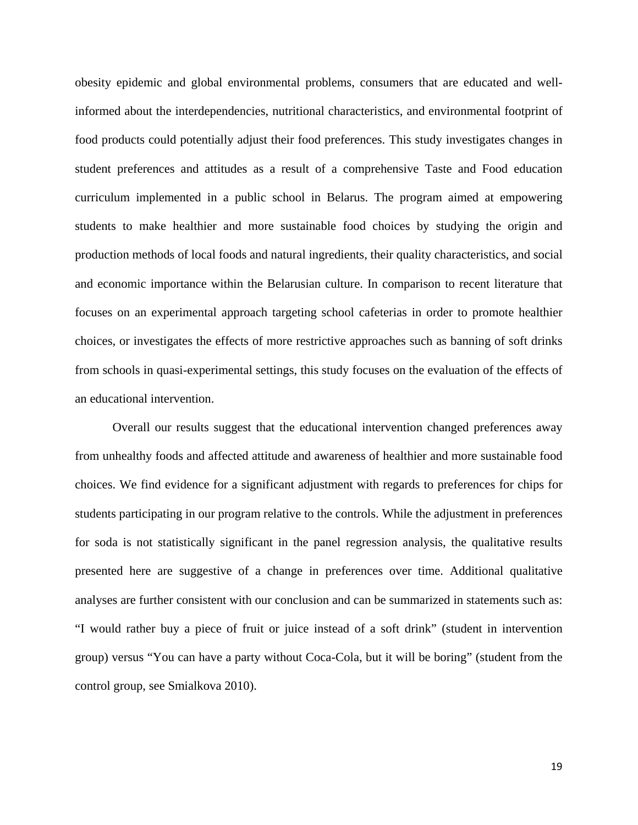obesity epidemic and global environmental problems, consumers that are educated and wellinformed about the interdependencies, nutritional characteristics, and environmental footprint of food products could potentially adjust their food preferences. This study investigates changes in student preferences and attitudes as a result of a comprehensive Taste and Food education curriculum implemented in a public school in Belarus. The program aimed at empowering students to make healthier and more sustainable food choices by studying the origin and production methods of local foods and natural ingredients, their quality characteristics, and social and economic importance within the Belarusian culture. In comparison to recent literature that focuses on an experimental approach targeting school cafeterias in order to promote healthier choices, or investigates the effects of more restrictive approaches such as banning of soft drinks from schools in quasi-experimental settings, this study focuses on the evaluation of the effects of an educational intervention.

Overall our results suggest that the educational intervention changed preferences away from unhealthy foods and affected attitude and awareness of healthier and more sustainable food choices. We find evidence for a significant adjustment with regards to preferences for chips for students participating in our program relative to the controls. While the adjustment in preferences for soda is not statistically significant in the panel regression analysis, the qualitative results presented here are suggestive of a change in preferences over time. Additional qualitative analyses are further consistent with our conclusion and can be summarized in statements such as: "I would rather buy a piece of fruit or juice instead of a soft drink" (student in intervention group) versus "You can have a party without Coca-Cola, but it will be boring" (student from the control group, see Smialkova 2010).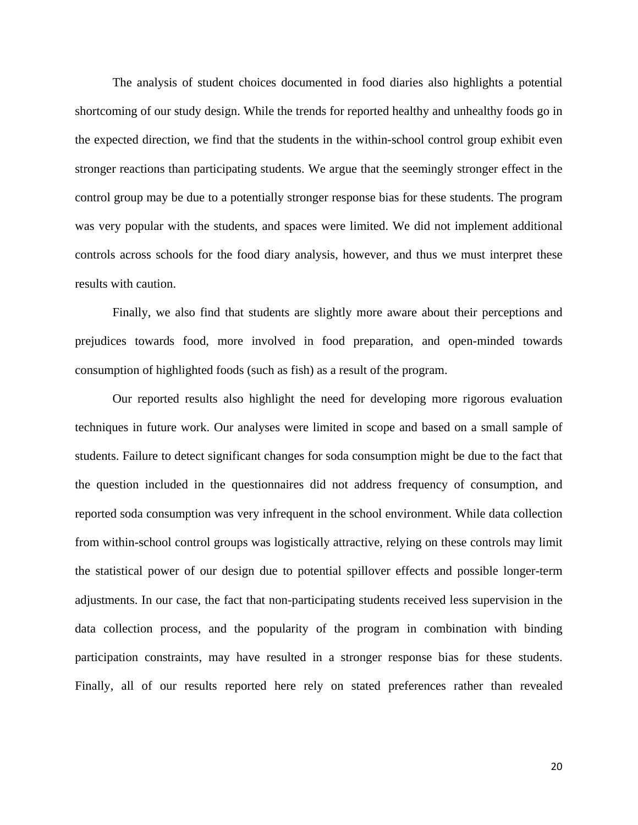The analysis of student choices documented in food diaries also highlights a potential shortcoming of our study design. While the trends for reported healthy and unhealthy foods go in the expected direction, we find that the students in the within-school control group exhibit even stronger reactions than participating students. We argue that the seemingly stronger effect in the control group may be due to a potentially stronger response bias for these students. The program was very popular with the students, and spaces were limited. We did not implement additional controls across schools for the food diary analysis, however, and thus we must interpret these results with caution.

Finally, we also find that students are slightly more aware about their perceptions and prejudices towards food, more involved in food preparation, and open-minded towards consumption of highlighted foods (such as fish) as a result of the program.

Our reported results also highlight the need for developing more rigorous evaluation techniques in future work. Our analyses were limited in scope and based on a small sample of students. Failure to detect significant changes for soda consumption might be due to the fact that the question included in the questionnaires did not address frequency of consumption, and reported soda consumption was very infrequent in the school environment. While data collection from within-school control groups was logistically attractive, relying on these controls may limit the statistical power of our design due to potential spillover effects and possible longer-term adjustments. In our case, the fact that non-participating students received less supervision in the data collection process, and the popularity of the program in combination with binding participation constraints, may have resulted in a stronger response bias for these students. Finally, all of our results reported here rely on stated preferences rather than revealed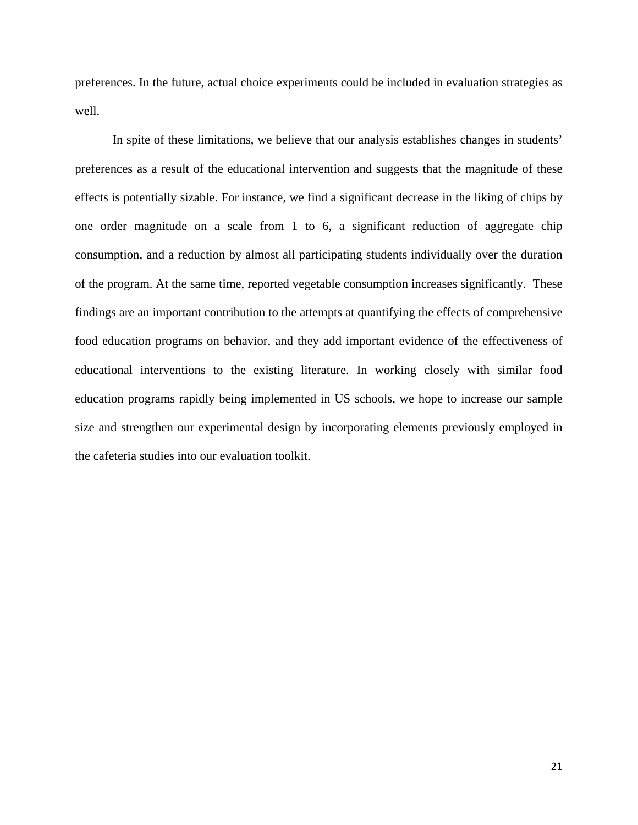preferences. In the future, actual choice experiments could be included in evaluation strategies as well.

In spite of these limitations, we believe that our analysis establishes changes in students' preferences as a result of the educational intervention and suggests that the magnitude of these effects is potentially sizable. For instance, we find a significant decrease in the liking of chips by one order magnitude on a scale from 1 to 6, a significant reduction of aggregate chip consumption, and a reduction by almost all participating students individually over the duration of the program. At the same time, reported vegetable consumption increases significantly. These findings are an important contribution to the attempts at quantifying the effects of comprehensive food education programs on behavior, and they add important evidence of the effectiveness of educational interventions to the existing literature. In working closely with similar food education programs rapidly being implemented in US schools, we hope to increase our sample size and strengthen our experimental design by incorporating elements previously employed in the cafeteria studies into our evaluation toolkit.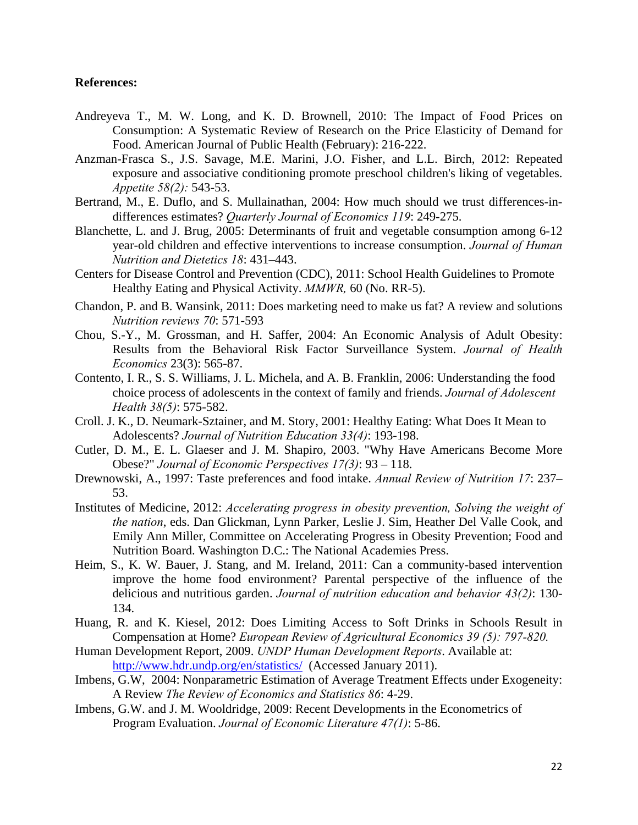## **References:**

- Andreyeva T., M. W. Long, and K. D. Brownell, 2010: The Impact of Food Prices on Consumption: A Systematic Review of Research on the Price Elasticity of Demand for Food. American Journal of Public Health (February): 216-222.
- Anzman-Frasca S., J.S. Savage, M.E. Marini, J.O. Fisher, and L.L. Birch, 2012: Repeated exposure and associative conditioning promote preschool children's liking of vegetables. *Appetite 58(2):* 543-53.
- Bertrand, M., E. Duflo, and S. Mullainathan, 2004: How much should we trust differences-indifferences estimates? *Quarterly Journal of Economics 119*: 249-275.
- Blanchette, L. and J. Brug, 2005: Determinants of fruit and vegetable consumption among 6-12 year-old children and effective interventions to increase consumption. *Journal of Human Nutrition and Dietetics 18*: 431–443.
- Centers for Disease Control and Prevention (CDC), 2011: School Health Guidelines to Promote Healthy Eating and Physical Activity. *MMWR,* 60 (No. RR-5).
- Chandon, P. and B. Wansink, 2011: Does marketing need to make us fat? A review and solutions *Nutrition reviews 70*: 571-593
- Chou, S.-Y., M. Grossman, and H. Saffer, 2004: An Economic Analysis of Adult Obesity: Results from the Behavioral Risk Factor Surveillance System. *Journal of Health Economics* 23(3): 565-87.
- Contento, I. R., S. S. Williams, J. L. Michela, and A. B. Franklin, 2006: Understanding the food choice process of adolescents in the context of family and friends. *Journal of Adolescent Health 38(5)*: 575-582.
- Croll. J. K., D. Neumark-Sztainer, and M. Story, 2001: Healthy Eating: What Does It Mean to Adolescents? *Journal of Nutrition Education 33(4)*: 193-198.
- Cutler, D. M., E. L. Glaeser and J. M. Shapiro, 2003. "Why Have Americans Become More Obese?" *Journal of Economic Perspectives 17(3)*: 93 – 118.
- Drewnowski, A., 1997: Taste preferences and food intake. *Annual Review of Nutrition 17*: 237– 53.
- Institutes of Medicine, 2012: *Accelerating progress in obesity prevention, Solving the weight of the nation*, eds. Dan Glickman, Lynn Parker, Leslie J. Sim, Heather Del Valle Cook, and Emily Ann Miller, Committee on Accelerating Progress in Obesity Prevention; Food and Nutrition Board. Washington D.C.: The National Academies Press.
- Heim, S., K. W. Bauer, J. Stang, and M. Ireland, 2011: Can a community-based intervention improve the home food environment? Parental perspective of the influence of the delicious and nutritious garden. *Journal of nutrition education and behavior 43(2)*: 130- 134.
- Huang, R. and K. Kiesel, 2012: Does Limiting Access to Soft Drinks in Schools Result in Compensation at Home? *European Review of Agricultural Economics 39 (5): 797-820.*
- Human Development Report, 2009. *UNDP Human Development Reports*. Available at: http://www.hdr.undp.org/en/statistics/ (Accessed January 2011).
- Imbens, G.W, 2004: Nonparametric Estimation of Average Treatment Effects under Exogeneity: A Review *The Review of Economics and Statistics 86*: 4-29.
- Imbens, G.W. and J. M. Wooldridge, 2009: Recent Developments in the Econometrics of Program Evaluation. *Journal of Economic Literature 47(1)*: 5-86.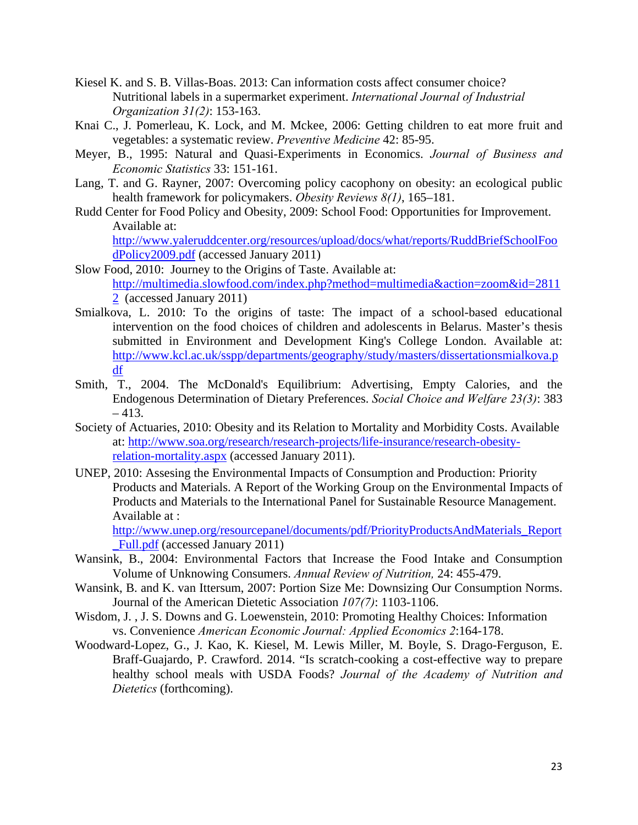- Kiesel K. and S. B. Villas-Boas. 2013: Can information costs affect consumer choice? Nutritional labels in a supermarket experiment. *International Journal of Industrial Organization 31(2)*: 153-163.
- Knai C., J. Pomerleau, K. Lock, and M. Mckee, 2006: Getting children to eat more fruit and vegetables: a systematic review. *Preventive Medicine* 42: 85-95.
- Meyer, B., 1995: Natural and Quasi-Experiments in Economics. *Journal of Business and Economic Statistics* 33: 151-161.
- Lang, T. and G. Rayner, 2007: Overcoming policy cacophony on obesity: an ecological public health framework for policymakers. *Obesity Reviews 8(1)*, 165–181.
- Rudd Center for Food Policy and Obesity, 2009: School Food: Opportunities for Improvement. Available at:

http://www.yaleruddcenter.org/resources/upload/docs/what/reports/RuddBriefSchoolFoo dPolicy2009.pdf (accessed January 2011)

- Slow Food, 2010: Journey to the Origins of Taste. Available at: http://multimedia.slowfood.com/index.php?method=multimedia&action=zoom&id=2811 2 (accessed January 2011)
- Smialkova, L. 2010: To the origins of taste: The impact of a school-based educational intervention on the food choices of children and adolescents in Belarus. Master's thesis submitted in Environment and Development King's College London. Available at: http://www.kcl.ac.uk/sspp/departments/geography/study/masters/dissertationsmialkova.p df
- Smith, T., 2004. The McDonald's Equilibrium: Advertising, Empty Calories, and the Endogenous Determination of Dietary Preferences. *Social Choice and Welfare 23(3)*: 383 – 413.
- Society of Actuaries, 2010: Obesity and its Relation to Mortality and Morbidity Costs. Available at: http://www.soa.org/research/research-projects/life-insurance/research-obesityrelation-mortality.aspx (accessed January 2011).
- UNEP, 2010: Assesing the Environmental Impacts of Consumption and Production: Priority Products and Materials. A Report of the Working Group on the Environmental Impacts of Products and Materials to the International Panel for Sustainable Resource Management. Available at :

http://www.unep.org/resourcepanel/documents/pdf/PriorityProductsAndMaterials\_Report \_Full.pdf (accessed January 2011)

- Wansink, B., 2004: Environmental Factors that Increase the Food Intake and Consumption Volume of Unknowing Consumers. *Annual Review of Nutrition,* 24: 455-479.
- Wansink, B. and K. van Ittersum, 2007: Portion Size Me: Downsizing Our Consumption Norms. Journal of the American Dietetic Association *107(7)*: 1103-1106.
- Wisdom, J. , J. S. Downs and G. Loewenstein, 2010: Promoting Healthy Choices: Information vs. Convenience *American Economic Journal: Applied Economics 2*:164-178.
- Woodward-Lopez, G., J. Kao, K. Kiesel, M. Lewis Miller, M. Boyle, S. Drago-Ferguson, E. Braff-Guajardo, P. Crawford. 2014. "Is scratch-cooking a cost-effective way to prepare healthy school meals with USDA Foods? *Journal of the Academy of Nutrition and Dietetics* (forthcoming).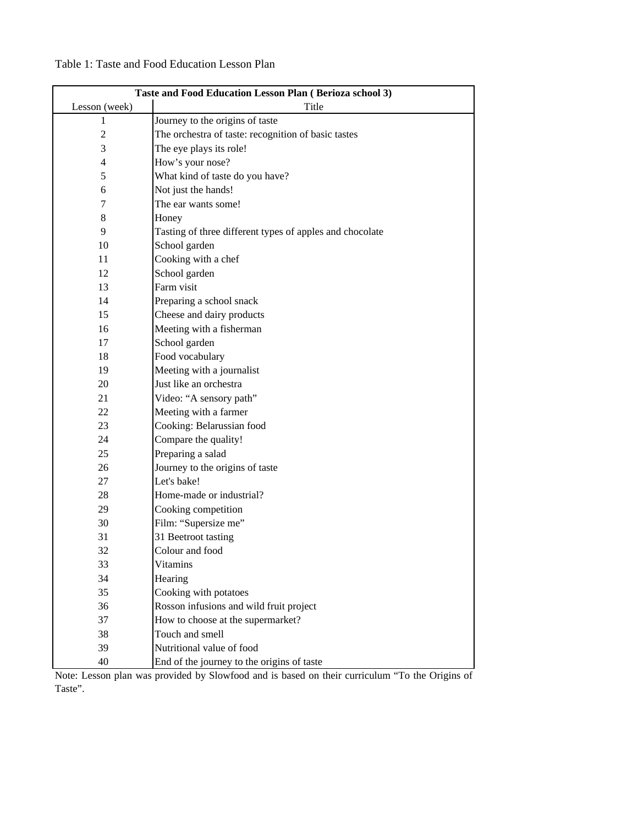|               | Taste and Food Education Lesson Plan (Berioza school 3) |  |  |  |  |  |
|---------------|---------------------------------------------------------|--|--|--|--|--|
| Lesson (week) | Title                                                   |  |  |  |  |  |
|               | Journey to the origins of taste                         |  |  |  |  |  |
|               | The orchestra of taste: recognition of basic tastes     |  |  |  |  |  |
| 3             | The eye plays its role!                                 |  |  |  |  |  |
| 4             | How's your nose?                                        |  |  |  |  |  |
|               | What kind of taste do you have?                         |  |  |  |  |  |
| 6             | Not just the hands!                                     |  |  |  |  |  |
|               | The ear wants some!                                     |  |  |  |  |  |

## Table 1: Taste and Food Education Lesson Plan

|                    | Taste and Food Education Lesson Plan (Berioza school 3)  |
|--------------------|----------------------------------------------------------|
| Lesson (week)<br>1 | Title<br>Journey to the origins of taste                 |
| $\overline{c}$     | The orchestra of taste: recognition of basic tastes      |
| 3                  |                                                          |
| $\overline{4}$     | The eye plays its role!                                  |
|                    | How's your nose?                                         |
| 5                  | What kind of taste do you have?                          |
| 6                  | Not just the hands!                                      |
| 7                  | The ear wants some!                                      |
| 8                  | Honey                                                    |
| 9                  | Tasting of three different types of apples and chocolate |
| 10                 | School garden                                            |
| 11                 | Cooking with a chef                                      |
| 12                 | School garden                                            |
| 13                 | Farm visit                                               |
| 14                 | Preparing a school snack                                 |
| 15                 | Cheese and dairy products                                |
| 16                 | Meeting with a fisherman                                 |
| 17                 | School garden                                            |
| 18                 | Food vocabulary                                          |
| 19                 | Meeting with a journalist                                |
| 20                 | Just like an orchestra                                   |
| 21                 | Video: "A sensory path"                                  |
| 22                 | Meeting with a farmer                                    |
| 23                 | Cooking: Belarussian food                                |
| 24                 | Compare the quality!                                     |
| 25                 | Preparing a salad                                        |
| 26                 | Journey to the origins of taste                          |
| 27                 | Let's bake!                                              |
| 28                 | Home-made or industrial?                                 |
| 29                 | Cooking competition                                      |
| 30                 | Film: "Supersize me"                                     |
| 31                 | 31 Beetroot tasting                                      |
| 32                 | Colour and food                                          |
| 33                 | Vitamins                                                 |
| 34                 | Hearing                                                  |
| 35                 | Cooking with potatoes                                    |
| 36                 | Rosson infusions and wild fruit project                  |
| 37                 | How to choose at the supermarket?                        |
| 38                 | Touch and smell                                          |
| 39                 | Nutritional value of food                                |
| 40                 | End of the journey to the origins of taste               |

Note: Lesson plan was provided by Slowfood and is based on their curriculum "To the Origins of Taste".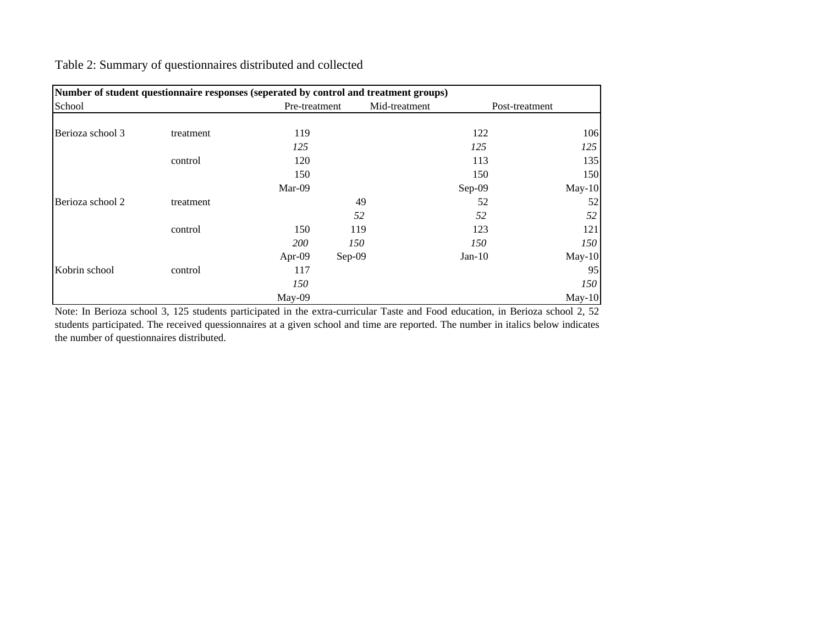|  |  | Table 2: Summary of questionnaires distributed and collected |  |
|--|--|--------------------------------------------------------------|--|
|  |  |                                                              |  |

|                  | Number of student questionnaire responses (seperated by control and treatment groups) |               |               |  |                |          |  |  |
|------------------|---------------------------------------------------------------------------------------|---------------|---------------|--|----------------|----------|--|--|
| School           |                                                                                       | Pre-treatment | Mid-treatment |  | Post-treatment |          |  |  |
|                  |                                                                                       |               |               |  |                |          |  |  |
| Berioza school 3 | treatment                                                                             | 119           |               |  | 122            | 106      |  |  |
|                  |                                                                                       | 125           |               |  | 125            | 125      |  |  |
|                  | control                                                                               | 120           |               |  | 113            | 135      |  |  |
|                  |                                                                                       | 150           |               |  | 150            | 150      |  |  |
|                  |                                                                                       | Mar-09        |               |  | Sep-09         | $May-10$ |  |  |
| Berioza school 2 | treatment                                                                             |               | 49            |  | 52             | 52       |  |  |
|                  |                                                                                       |               | 52            |  | 52             | 52       |  |  |
|                  | control                                                                               | 150           | 119           |  | 123            | 121      |  |  |
|                  |                                                                                       | <i>200</i>    | 150           |  | 150            | 150      |  |  |
|                  |                                                                                       | Apr- $09$     | Sep-09        |  | $Jan-10$       | $May-10$ |  |  |
| Kobrin school    | control                                                                               | 117           |               |  |                | 95       |  |  |
|                  |                                                                                       | 150           |               |  |                | 150      |  |  |
|                  |                                                                                       | $May-09$      |               |  |                | $May-10$ |  |  |

Note: In Berioza school 3, 125 students participated in the extra-curricular Taste and Food education, in Berioza school 2, 52 students participated. The received quessionnaires at <sup>a</sup> given school and time are reported. The number in italics below indicates the number of questionnaires distributed.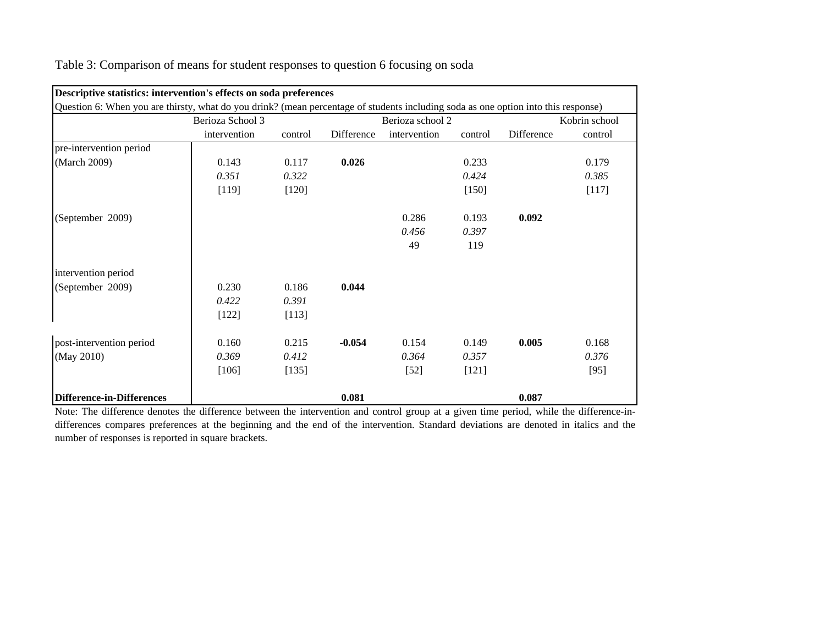| Descriptive statistics: intervention's effects on soda preferences                                                                 |                  |         |            |                  |         |            |               |  |
|------------------------------------------------------------------------------------------------------------------------------------|------------------|---------|------------|------------------|---------|------------|---------------|--|
| Question 6: When you are thirsty, what do you drink? (mean percentage of students including soda as one option into this response) |                  |         |            |                  |         |            |               |  |
|                                                                                                                                    | Berioza School 3 |         |            | Berioza school 2 |         |            | Kobrin school |  |
|                                                                                                                                    | intervention     | control | Difference | intervention     | control | Difference | control       |  |
| pre-intervention period                                                                                                            |                  |         |            |                  |         |            |               |  |
| (March 2009)                                                                                                                       | 0.143            | 0.117   | 0.026      |                  | 0.233   |            | 0.179         |  |
|                                                                                                                                    | 0.351            | 0.322   |            |                  | 0.424   |            | 0.385         |  |
|                                                                                                                                    | [119]            | $[120]$ |            |                  | $[150]$ |            | [117]         |  |
| (September 2009)                                                                                                                   |                  |         |            | 0.286            | 0.193   | 0.092      |               |  |
|                                                                                                                                    |                  |         |            | 0.456            | 0.397   |            |               |  |
|                                                                                                                                    |                  |         |            | 49               | 119     |            |               |  |
| intervention period                                                                                                                |                  |         |            |                  |         |            |               |  |
| (September 2009)                                                                                                                   | 0.230            | 0.186   | 0.044      |                  |         |            |               |  |
|                                                                                                                                    | 0.422            | 0.391   |            |                  |         |            |               |  |
|                                                                                                                                    | $[122]$          | [113]   |            |                  |         |            |               |  |
| post-intervention period                                                                                                           | 0.160            | 0.215   | $-0.054$   | 0.154            | 0.149   | 0.005      | 0.168         |  |
| (May 2010)                                                                                                                         | 0.369            | 0.412   |            | 0.364            | 0.357   |            | 0.376         |  |
|                                                                                                                                    | [106]            | [135]   |            | $[52]$           | $[121]$ |            | $[95]$        |  |
| Difference-in-Differences                                                                                                          |                  |         | 0.081      |                  |         | 0.087      |               |  |

Table 3: Comparison of means for student responses to question 6 focusing on soda

Note: The difference denotes the difference between the intervention and control group at <sup>a</sup> given time period, while the difference-indifferences compares preferences at the beginning and the end of the intervention. Standard deviations are denoted in italics and the number of responses is reported in square brackets.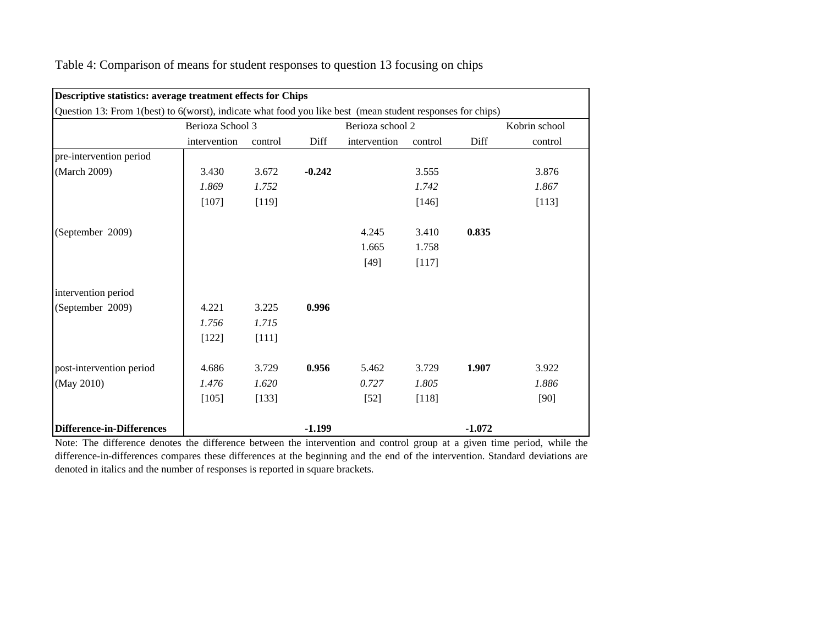|                                                                                                            | Descriptive statistics: average treatment effects for Chips |         |          |                  |         |          |               |  |  |
|------------------------------------------------------------------------------------------------------------|-------------------------------------------------------------|---------|----------|------------------|---------|----------|---------------|--|--|
| Question 13: From 1(best) to 6(worst), indicate what food you like best (mean student responses for chips) |                                                             |         |          |                  |         |          |               |  |  |
|                                                                                                            | Berioza School 3                                            |         |          | Berioza school 2 |         |          | Kobrin school |  |  |
|                                                                                                            | intervention                                                | control | Diff     | intervention     | control | Diff     | control       |  |  |
| pre-intervention period                                                                                    |                                                             |         |          |                  |         |          |               |  |  |
| (March 2009)                                                                                               | 3.430                                                       | 3.672   | $-0.242$ |                  | 3.555   |          | 3.876         |  |  |
|                                                                                                            | 1.869                                                       | 1.752   |          |                  | 1.742   |          | 1.867         |  |  |
|                                                                                                            | $[107]$                                                     | [119]   |          |                  | [146]   |          | [113]         |  |  |
| (September 2009)                                                                                           |                                                             |         |          | 4.245            | 3.410   | 0.835    |               |  |  |
|                                                                                                            |                                                             |         |          | 1.665            | 1.758   |          |               |  |  |
|                                                                                                            |                                                             |         |          | $[49]$           | [117]   |          |               |  |  |
| intervention period                                                                                        |                                                             |         |          |                  |         |          |               |  |  |
| (September 2009)                                                                                           | 4.221                                                       | 3.225   | 0.996    |                  |         |          |               |  |  |
|                                                                                                            | 1.756                                                       | 1.715   |          |                  |         |          |               |  |  |
|                                                                                                            | $[122]$                                                     | $[111]$ |          |                  |         |          |               |  |  |
| post-intervention period                                                                                   | 4.686                                                       | 3.729   | 0.956    | 5.462            | 3.729   | 1.907    | 3.922         |  |  |
| (May 2010)                                                                                                 | 1.476                                                       | 1.620   |          | 0.727            | 1.805   |          | 1.886         |  |  |
|                                                                                                            | [105]                                                       | [133]   |          | $[52]$           | $[118]$ |          | [90]          |  |  |
| <b>Difference-in-Differences</b>                                                                           |                                                             |         | $-1.199$ |                  |         | $-1.072$ |               |  |  |

Table 4: Comparison of means for student responses to question 13 focusing on chips

Note: The difference denotes the difference between the intervention and control group at <sup>a</sup> given time period, while the difference-in-differences compares these differences at the beginning and the end of the intervention. Standard deviations are denoted in italics and the number of responses is reported in square brackets.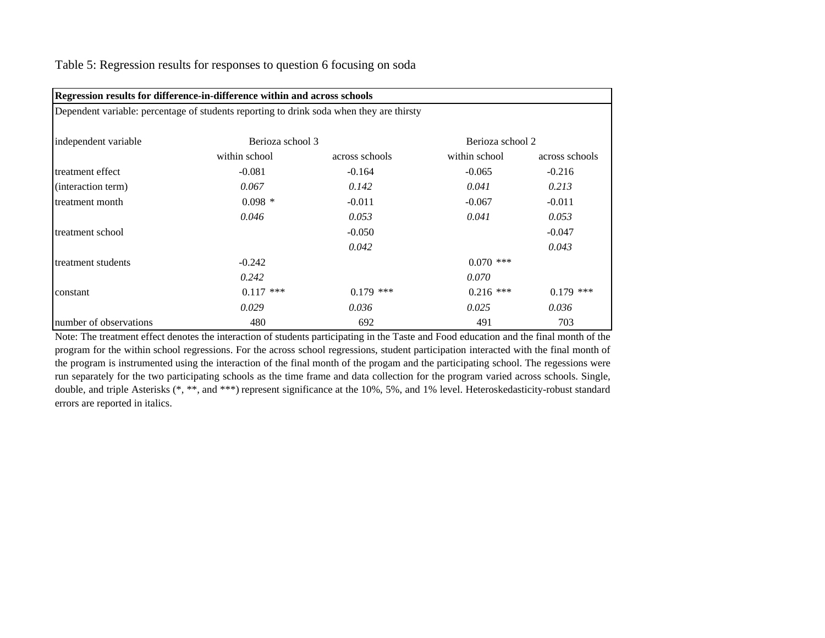| Regression results for difference-in-difference within and across schools                |               |                |               |                |  |  |  |  |  |
|------------------------------------------------------------------------------------------|---------------|----------------|---------------|----------------|--|--|--|--|--|
| Dependent variable: percentage of students reporting to drink soda when they are thirsty |               |                |               |                |  |  |  |  |  |
| Berioza school 3<br>Berioza school 2<br>independent variable                             |               |                |               |                |  |  |  |  |  |
|                                                                                          | within school | across schools | within school | across schools |  |  |  |  |  |
| treatment effect                                                                         | $-0.081$      | $-0.164$       | $-0.065$      | $-0.216$       |  |  |  |  |  |
| (interaction term)                                                                       | 0.067         | 0.142          | 0.041         | 0.213          |  |  |  |  |  |
| treatment month                                                                          | $0.098*$      | $-0.011$       | $-0.067$      | $-0.011$       |  |  |  |  |  |
|                                                                                          | 0.046         | 0.053          | 0.041         | 0.053          |  |  |  |  |  |
| treatment school                                                                         |               | $-0.050$       |               | $-0.047$       |  |  |  |  |  |
|                                                                                          |               | 0.042          |               | 0.043          |  |  |  |  |  |
| treatment students                                                                       | $-0.242$      |                | $0.070$ ***   |                |  |  |  |  |  |
|                                                                                          | 0.242         |                | 0.070         |                |  |  |  |  |  |
| constant                                                                                 | $0.117$ ***   | $0.179$ ***    | $0.216$ ***   | $0.179$ ***    |  |  |  |  |  |
|                                                                                          | 0.029         | 0.036          | 0.025         | 0.036          |  |  |  |  |  |
| number of observations                                                                   | 480           | 692            | 491           | 703            |  |  |  |  |  |

Table 5: Regression results for responses to question 6 focusing on soda

Note: The treatment effect denotes the interaction of students participating in the Taste and Food education and the final month of the program for the within school regressions. For the across school regressions, student participation interacted with the final month of the program is instrumented using the interaction of the final month of the progam and the participating school. The regessions were run separately for the two participating schools as the time frame and data collection for the program varied across schools. Single, double, and triple Asterisks (\*, \*\*, and \*\*\*) represen<sup>t</sup> significance at the 10%, 5%, and 1% level. Heteroskedasticity-robust standard errors are reported in italics.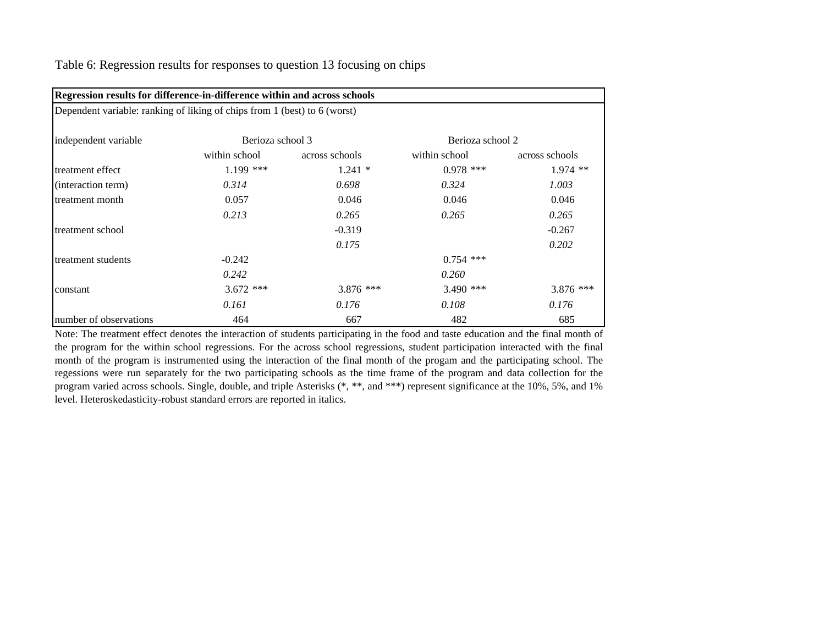| Regression results for difference-in-difference within and across schools |                  |                |                  |                |  |  |  |  |
|---------------------------------------------------------------------------|------------------|----------------|------------------|----------------|--|--|--|--|
| Dependent variable: ranking of liking of chips from 1 (best) to 6 (worst) |                  |                |                  |                |  |  |  |  |
| independent variable                                                      | Berioza school 3 |                | Berioza school 2 |                |  |  |  |  |
|                                                                           | within school    | across schools | within school    | across schools |  |  |  |  |
| treatment effect                                                          | $1.199$ ***      | $1.241*$       | $0.978$ ***      | $1.974$ **     |  |  |  |  |
| (interaction term)                                                        | 0.314            | 0.698          | 0.324            | 1.003          |  |  |  |  |
| treatment month                                                           | 0.057            | 0.046          | 0.046            | 0.046          |  |  |  |  |
|                                                                           | 0.213            | 0.265          | 0.265            | 0.265          |  |  |  |  |
| treatment school                                                          |                  | $-0.319$       |                  | $-0.267$       |  |  |  |  |
|                                                                           |                  | 0.175          |                  | 0.202          |  |  |  |  |
| treatment students                                                        | $-0.242$         |                | $0.754$ ***      |                |  |  |  |  |
|                                                                           | 0.242            |                | 0.260            |                |  |  |  |  |
| constant                                                                  | $3.672$ ***      | 3.876 ***      | $3.490$ ***      | $3.876$ ***    |  |  |  |  |
|                                                                           | 0.161            | 0.176          | 0.108            | 0.176          |  |  |  |  |
| number of observations                                                    | 464              | 667            | 482              | 685            |  |  |  |  |

Table 6: Regression results for responses to question 13 focusing on chips

Note: The treatment effect denotes the interaction of students participating in the food and taste education and the final month of the program for the within school regressions. For the across school regressions, student participation interacted with the final month of the program is instrumented using the interaction of the final month of the progam and the participating school. The regessions were run separately for the two participating schools as the time frame of the program and data collection for the program varied across schools. Single, double, and triple Asterisks (\*, \*\*, and \*\*\*) represen<sup>t</sup> significance at the 10%, 5%, and 1% level. Heteroskedasticity-robust standard errors are reported in italics.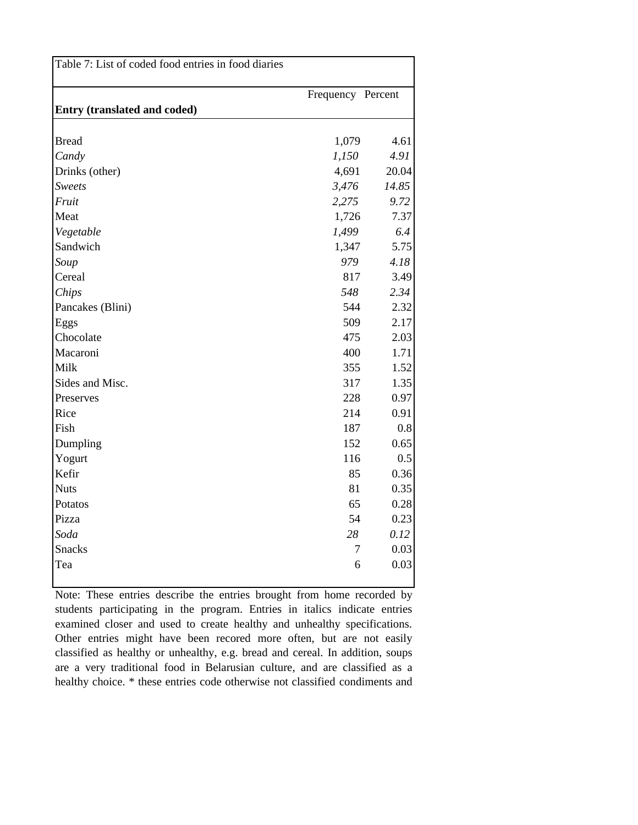| Table 7: List of coded food entries in food diaries |                   |       |  |  |  |  |
|-----------------------------------------------------|-------------------|-------|--|--|--|--|
|                                                     | Frequency Percent |       |  |  |  |  |
| <b>Entry (translated and coded)</b>                 |                   |       |  |  |  |  |
|                                                     |                   |       |  |  |  |  |
| <b>Bread</b>                                        | 1,079             | 4.61  |  |  |  |  |
| Candy                                               | 1,150             | 4.91  |  |  |  |  |
| Drinks (other)                                      | 4,691             | 20.04 |  |  |  |  |
| <b>Sweets</b>                                       | 3,476             | 14.85 |  |  |  |  |
| Fruit                                               | 2,275             | 9.72  |  |  |  |  |
| Meat                                                | 1,726             | 7.37  |  |  |  |  |
| Vegetable                                           | 1,499             | 6.4   |  |  |  |  |
| Sandwich                                            | 1,347             | 5.75  |  |  |  |  |
| Soup                                                | 979               | 4.18  |  |  |  |  |
| Cereal                                              | 817               | 3.49  |  |  |  |  |
| Chips                                               | 548               | 2.34  |  |  |  |  |
| Pancakes (Blini)                                    | 544               | 2.32  |  |  |  |  |
| Eggs                                                | 509               | 2.17  |  |  |  |  |
| Chocolate                                           | 475               | 2.03  |  |  |  |  |
| Macaroni                                            | 400               | 1.71  |  |  |  |  |
| Milk                                                | 355               | 1.52  |  |  |  |  |
| Sides and Misc.                                     | 317               | 1.35  |  |  |  |  |
| Preserves                                           | 228               | 0.97  |  |  |  |  |
| Rice                                                | 214               | 0.91  |  |  |  |  |
| Fish                                                | 187               | 0.8   |  |  |  |  |
| Dumpling                                            | 152               | 0.65  |  |  |  |  |
| Yogurt                                              | 116               | 0.5   |  |  |  |  |
| Kefir                                               | 85                | 0.36  |  |  |  |  |
| <b>Nuts</b>                                         | 81                | 0.35  |  |  |  |  |
| Potatos                                             | 65                | 0.28  |  |  |  |  |
| Pizza                                               | 54                | 0.23  |  |  |  |  |
| Soda                                                | 28                | 0.12  |  |  |  |  |
| <b>Snacks</b>                                       | $\tau$            | 0.03  |  |  |  |  |
| Tea                                                 | 6                 | 0.03  |  |  |  |  |
|                                                     |                   |       |  |  |  |  |

Note: These entries describe the entries brought from home recorded by students participating in the program. Entries in italics indicate entries examined closer and used to create healthy and unhealthy specifications. Other entries might have been recored more often, but are not easily classified as healthy or unhealthy, e.g. bread and cereal. In addition, soups are a very traditional food in Belarusian culture, and are classified as a healthy choice. \* these entries code otherwise not classified condiments and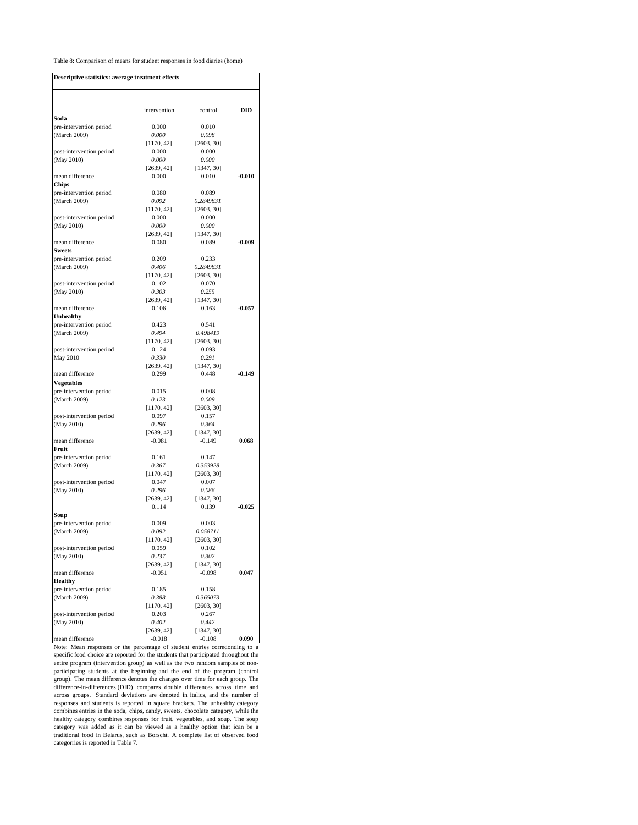#### Table 8: Comparison of means for student responses in food diaries (home)

| Descriptive statistics: average treatment effects |                     |                        |          |
|---------------------------------------------------|---------------------|------------------------|----------|
|                                                   |                     |                        |          |
| Soda                                              | intervention        | control                | DID      |
| pre-intervention period                           | 0.000               | 0.010                  |          |
| (March 2009)                                      | 0.000               | 0.098                  |          |
|                                                   | [1170, 42]          | [2603, 30]             |          |
| post-intervention period                          | 0.000               | 0.000                  |          |
| (May 2010)                                        | 0.000               | 0.000                  |          |
|                                                   | [2639, 42]          | [1347, 30]             |          |
| mean difference<br><b>Chips</b>                   | 0.000               | 0.010                  | $-0.010$ |
| pre-intervention period                           | 0.080               | 0.089                  |          |
| (March 2009)                                      | 0.092               | 0.2849831              |          |
|                                                   | [1170, 42]          | [2603, 30]             |          |
| post-intervention period                          | 0.000               | 0.000                  |          |
| (May 2010)                                        | 0.000               | 0.000                  |          |
|                                                   | [2639, 42]          | [1347, 30]             |          |
| mean difference                                   | 0.080               | 0.089                  | $-0.009$ |
| <b>Sweets</b>                                     |                     | 0.233                  |          |
| pre-intervention period<br>(March 2009)           | 0.209<br>0.406      | 0.2849831              |          |
|                                                   | [1170, 42]          | [2603, 30]             |          |
| post-intervention period                          | 0.102               | 0.070                  |          |
| (May 2010)                                        | 0.303               | 0.255                  |          |
|                                                   | [2639, 42]          | [1347, 30]             |          |
| mean difference                                   | 0.106               | 0.163                  | $-0.057$ |
| Unhealthy                                         |                     |                        |          |
| pre-intervention period                           | 0.423               | 0.541                  |          |
| (March 2009)                                      | 0.494               | 0.498419               |          |
|                                                   | [1170, 42]          | [2603, 30]             |          |
| post-intervention period                          | 0.124               | 0.093                  |          |
| May 2010                                          | 0.330<br>[2639, 42] | 0.291<br>[1347, 30]    |          |
| mean difference                                   | 0.299               | 0.448                  | $-0.149$ |
| Vegetables                                        |                     |                        |          |
| pre-intervention period                           | 0.015               | 0.008                  |          |
| (March 2009)                                      | 0.123               | 0.009                  |          |
|                                                   | [1170, 42]          | [2603, 30]             |          |
| post-intervention period                          | 0.097               | 0.157                  |          |
| (May 2010)                                        | 0.296               | 0.364                  |          |
|                                                   | [2639, 42]          | [1347, 30]             |          |
| mean difference                                   | $-0.081$            | $-0.149$               | 0.068    |
| Fruit                                             |                     |                        |          |
| pre-intervention period                           | 0.161               | 0.147                  |          |
| (March 2009)                                      | 0.367<br>[1170, 42] | 0.353928<br>[2603, 30] |          |
| post-intervention period                          | 0.047               | 0.007                  |          |
| (May 2010)                                        | 0.296               | 0.086                  |          |
|                                                   | [2639, 42]          | [1347, 30]             |          |
|                                                   | 0.114               | 0.139                  | -0.025   |
| Soup                                              |                     |                        |          |
| pre-intervention period                           | 0.009               | 0.003                  |          |
| (March 2009)                                      | 0.092               | 0.058711               |          |
|                                                   | [1170, 42]          | [2603, 30]             |          |
| post-intervention period                          | 0.059               | 0.102                  |          |
| (May 2010)                                        | 0.237               | 0.302                  |          |
|                                                   | [2639, 42]          | [1347, 30]             |          |
| mean difference<br><b>Healthy</b>                 | $-0.051$            | $-0.098$               | 0.047    |
| pre-intervention period                           | 0.185               | 0.158                  |          |
| (March 2009)                                      | 0.388               | 0.365073               |          |
|                                                   | [1170, 42]          | [2603, 30]             |          |
| post-intervention period                          | 0.203               | 0.267                  |          |
| (May 2010)                                        | 0.402               | 0.442                  |          |
|                                                   | [2639, 42]          | [1347, 30]             |          |
| mean difference                                   | $-0.018$            | $-0.108$               | 0.090    |

mean difference **1** -0.018 -0.108 **0.090**<br>Note: Mean responses or the percentage of student entries corredonding to a<br>specific food choice are reported for the students that participated throughout the entire program (intervention group) as well as the two random samples of non-participating students at the beginning and the end of the program (control group). The mean difference denotes the changes over time for each group. The difference-in-differences (DID) compares double differences across time and across groups. Standard deviations are denoted in italics, and the number of responses and students is reported in square brackets. The unhealthy category combines entries in the soda, chips, candy, sweets, chocolate category, while the<br>healthy category combines responses for fruit, vegetables, and soup. The soup<br>category was added as it can be viewed as a healthy option tha categorries is reported in Table 7.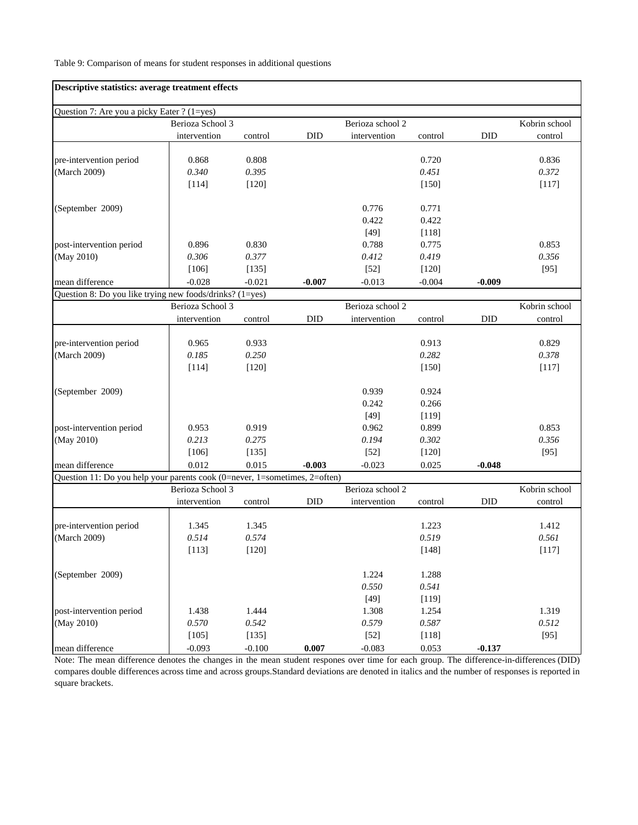#### Table 9: Comparison of means for student responses in additional questions

| Descriptive statistics: average treatment effects                          |                  |          |            |                  |          |            |               |
|----------------------------------------------------------------------------|------------------|----------|------------|------------------|----------|------------|---------------|
| Question 7: Are you a picky Eater ? (1=yes)                                |                  |          |            |                  |          |            |               |
|                                                                            | Berioza School 3 |          |            | Berioza school 2 |          |            | Kobrin school |
|                                                                            | intervention     | control  | <b>DID</b> | intervention     | control  | <b>DID</b> | control       |
|                                                                            |                  |          |            |                  |          |            |               |
| pre-intervention period                                                    | 0.868            | 0.808    |            |                  | 0.720    |            | 0.836         |
| (March 2009)                                                               | 0.340            | 0.395    |            |                  | 0.451    |            | 0.372         |
|                                                                            | [114]            | $[120]$  |            |                  | [150]    |            | [117]         |
| (September 2009)                                                           |                  |          |            | 0.776            | 0.771    |            |               |
|                                                                            |                  |          |            | 0.422            | 0.422    |            |               |
|                                                                            |                  |          |            | $[49]$           | [118]    |            |               |
| post-intervention period                                                   | 0.896            | 0.830    |            | 0.788            | 0.775    |            | 0.853         |
| (May 2010)                                                                 | 0.306            | 0.377    |            | 0.412            | 0.419    |            | 0.356         |
|                                                                            | [106]            | [135]    |            | $[52]$           | [120]    |            | $[95]$        |
| mean difference                                                            | $-0.028$         | $-0.021$ | $-0.007$   | $-0.013$         | $-0.004$ | $-0.009$   |               |
| Question 8: Do you like trying new foods/drinks? (1=yes)                   |                  |          |            |                  |          |            |               |
|                                                                            | Berioza School 3 |          |            | Berioza school 2 |          |            | Kobrin school |
|                                                                            | intervention     | control  | <b>DID</b> | intervention     | control  | <b>DID</b> | control       |
|                                                                            |                  |          |            |                  |          |            |               |
| pre-intervention period                                                    | 0.965            | 0.933    |            |                  | 0.913    |            | 0.829         |
| (March 2009)                                                               | 0.185            | 0.250    |            |                  | 0.282    |            | 0.378         |
|                                                                            | [114]            | $[120]$  |            |                  | [150]    |            | $[117]$       |
| (September 2009)                                                           |                  |          |            | 0.939            | 0.924    |            |               |
|                                                                            |                  |          |            | 0.242            | 0.266    |            |               |
|                                                                            |                  |          |            | $[49]$           | [119]    |            |               |
| post-intervention period                                                   | 0.953            | 0.919    |            | 0.962            | 0.899    |            | 0.853         |
| (May 2010)                                                                 | 0.213            | 0.275    |            | 0.194            | 0.302    |            | 0.356         |
|                                                                            | $[106]$          | [135]    |            | $[52]$           | $[120]$  |            | $[95]$        |
| mean difference                                                            | 0.012            | 0.015    | $-0.003$   | $-0.023$         | 0.025    | $-0.048$   |               |
| Question 11: Do you help your parents cook (0=never, 1=sometimes, 2=often) |                  |          |            |                  |          |            |               |
|                                                                            | Berioza School 3 |          |            | Berioza school 2 |          |            | Kobrin school |
|                                                                            | intervention     | control  | <b>DID</b> | intervention     | control  | <b>DID</b> | control       |
|                                                                            | 1.345            | 1.345    |            |                  | 1.223    |            | 1.412         |
| pre-intervention period<br>(March 2009)                                    | 0.514            | 0.574    |            |                  | 0.519    |            | 0.561         |
|                                                                            | [113]            |          |            |                  |          |            | [117]         |
|                                                                            |                  | $[120]$  |            |                  | $[148]$  |            |               |
| (September 2009)                                                           |                  |          |            | 1.224            | 1.288    |            |               |
|                                                                            |                  |          |            | 0.550            | 0.541    |            |               |
|                                                                            |                  |          |            | $[49]$           | [119]    |            |               |
| post-intervention period                                                   | 1.438            | 1.444    |            | 1.308            | 1.254    |            | 1.319         |
| (May 2010)                                                                 | 0.570            | 0.542    |            | 0.579            | 0.587    |            | 0.512         |
|                                                                            | [105]            | [135]    |            | $[52]$           | $[118]$  |            | [95]          |
| mean difference                                                            | $-0.093$         | $-0.100$ | 0.007      | $-0.083$         | 0.053    | $-0.137$   |               |

Note: The mean difference denotes the changes in the mean student respones over time for each group. The difference-in-differences (DID) compares double differences across time and across groups.Standard deviations are denoted in italics and the number of responses is reported in square brackets.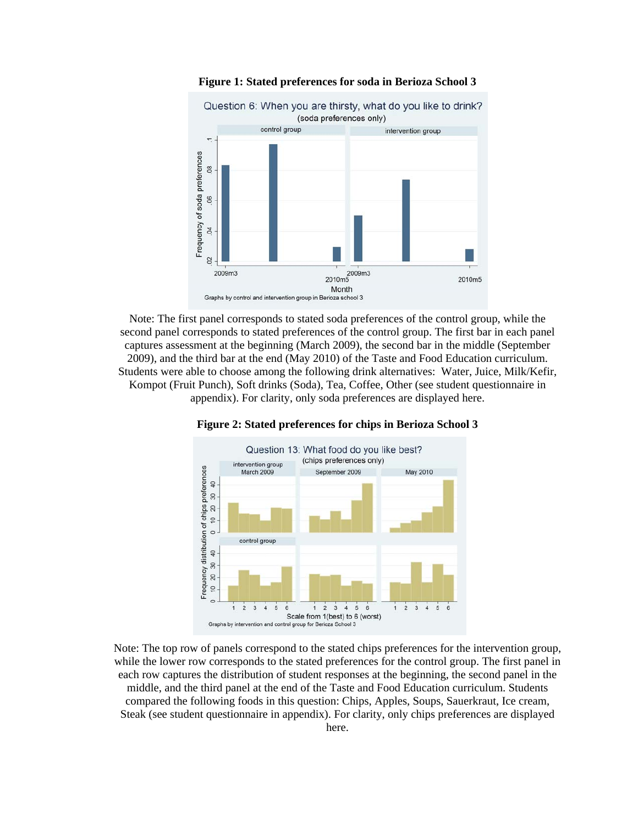

**Figure 1: Stated preferences for soda in Berioza School 3** 

Note: The first panel corresponds to stated soda preferences of the control group, while the second panel corresponds to stated preferences of the control group. The first bar in each panel captures assessment at the beginning (March 2009), the second bar in the middle (September 2009), and the third bar at the end (May 2010) of the Taste and Food Education curriculum. Students were able to choose among the following drink alternatives: Water, Juice, Milk/Kefir, Kompot (Fruit Punch), Soft drinks (Soda), Tea, Coffee, Other (see student questionnaire in appendix). For clarity, only soda preferences are displayed here.



**Figure 2: Stated preferences for chips in Berioza School 3** 

Note: The top row of panels correspond to the stated chips preferences for the intervention group, while the lower row corresponds to the stated preferences for the control group. The first panel in each row captures the distribution of student responses at the beginning, the second panel in the middle, and the third panel at the end of the Taste and Food Education curriculum. Students compared the following foods in this question: Chips, Apples, Soups, Sauerkraut, Ice cream, Steak (see student questionnaire in appendix). For clarity, only chips preferences are displayed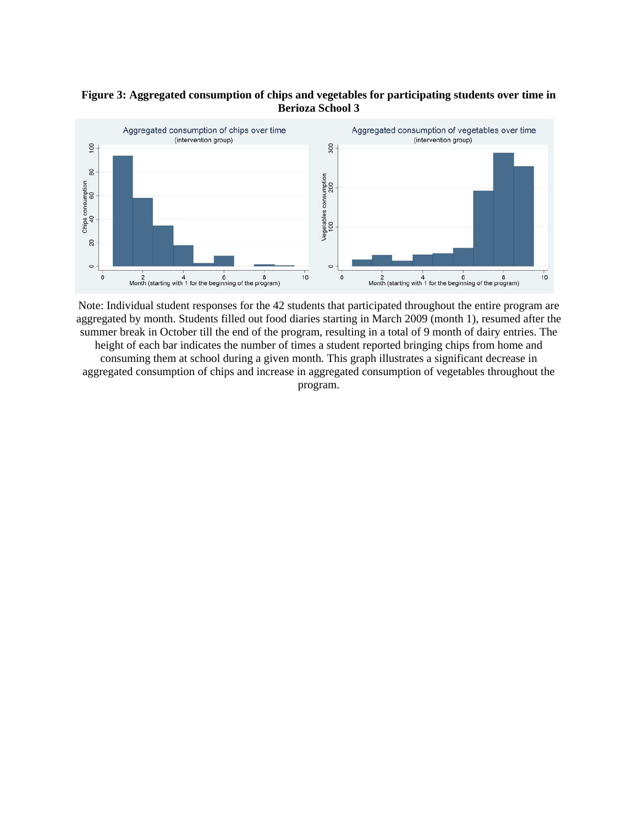## **Figure 3: Aggregated consumption of chips and vegetables for participating students over time in Berioza School 3**



Note: Individual student responses for the 42 students that participated throughout the entire program are aggregated by month. Students filled out food diaries starting in March 2009 (month 1), resumed after the summer break in October till the end of the program, resulting in a total of 9 month of dairy entries. The height of each bar indicates the number of times a student reported bringing chips from home and consuming them at school during a given month. This graph illustrates a significant decrease in aggregated consumption of chips and increase in aggregated consumption of vegetables throughout the program.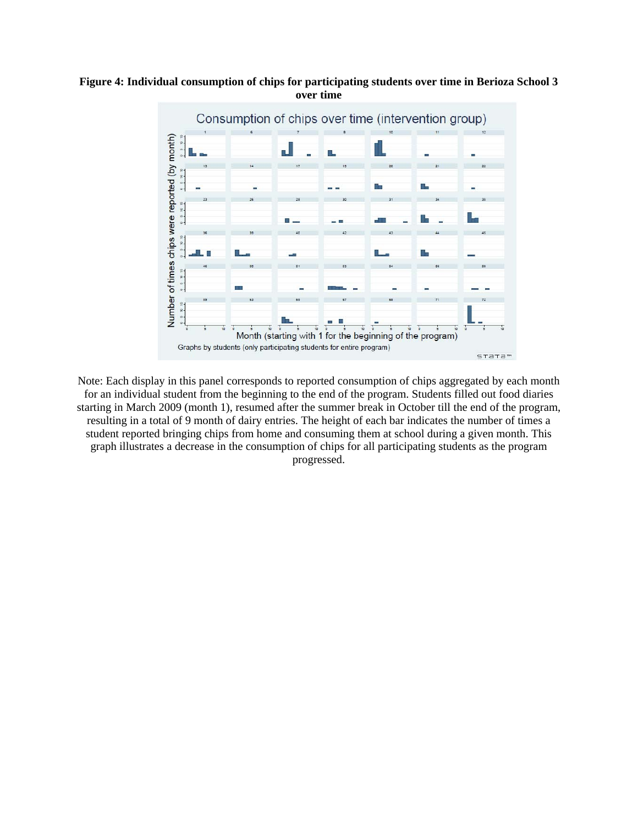## **Figure 4: Individual consumption of chips for participating students over time in Berioza School 3 over time**



Note: Each display in this panel corresponds to reported consumption of chips aggregated by each month for an individual student from the beginning to the end of the program. Students filled out food diaries starting in March 2009 (month 1), resumed after the summer break in October till the end of the program, resulting in a total of 9 month of dairy entries. The height of each bar indicates the number of times a student reported bringing chips from home and consuming them at school during a given month. This graph illustrates a decrease in the consumption of chips for all participating students as the program progressed.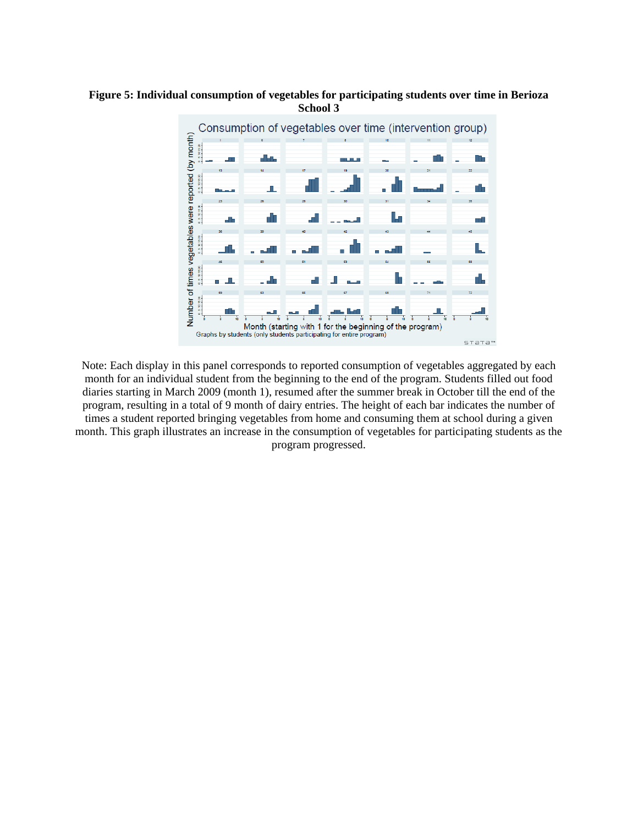

## **Figure 5: Individual consumption of vegetables for participating students over time in Berioza School 3**

Note: Each display in this panel corresponds to reported consumption of vegetables aggregated by each month for an individual student from the beginning to the end of the program. Students filled out food diaries starting in March 2009 (month 1), resumed after the summer break in October till the end of the program, resulting in a total of 9 month of dairy entries. The height of each bar indicates the number of times a student reported bringing vegetables from home and consuming them at school during a given month. This graph illustrates an increase in the consumption of vegetables for participating students as the program progressed.